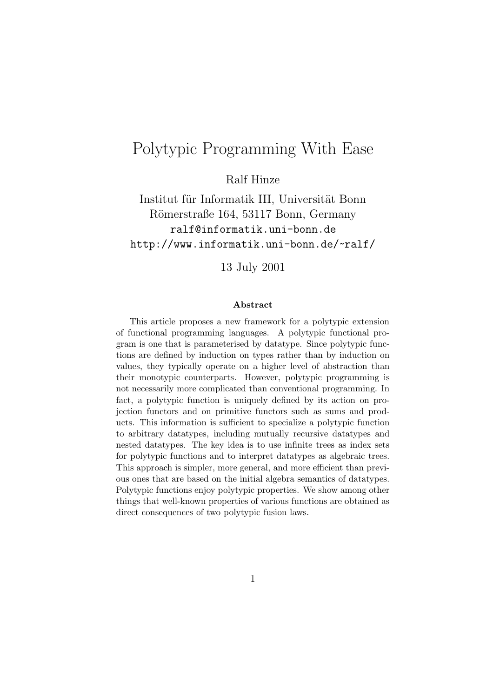# Polytypic Programming With Ease

Ralf Hinze

Institut für Informatik III, Universität Bonn Römerstraße 164, 53117 Bonn, Germany ralf@informatik.uni-bonn.de http://www.informatik.uni-bonn.de/~ralf/

13 July 2001

#### **Abstract**

This article proposes a new framework for a polytypic extension of functional programming languages. A polytypic functional program is one that is parameterised by datatype. Since polytypic functions are defined by induction on types rather than by induction on values, they typically operate on a higher level of abstraction than their monotypic counterparts. However, polytypic programming is not necessarily more complicated than conventional programming. In fact, a polytypic function is uniquely defined by its action on projection functors and on primitive functors such as sums and products. This information is sufficient to specialize a polytypic function to arbitrary datatypes, including mutually recursive datatypes and nested datatypes. The key idea is to use infinite trees as index sets for polytypic functions and to interpret datatypes as algebraic trees. This approach is simpler, more general, and more efficient than previous ones that are based on the initial algebra semantics of datatypes. Polytypic functions enjoy polytypic properties. We show among other things that well-known properties of various functions are obtained as direct consequences of two polytypic fusion laws.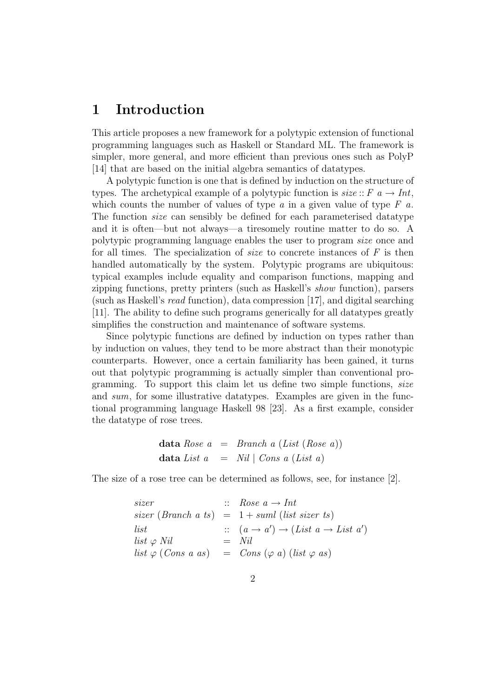### **1 Introduction**

This article proposes a new framework for a polytypic extension of functional programming languages such as Haskell or Standard ML. The framework is simpler, more general, and more efficient than previous ones such as PolyP [14] that are based on the initial algebra semantics of datatypes.

A polytypic function is one that is defined by induction on the structure of types. The archetypical example of a polytypic function is  $size:: F \text{ } a \rightarrow Int$ , which counts the number of values of type  $a$  in a given value of type  $F$   $a$ . The function size can sensibly be defined for each parameterised datatype and it is often—but not always—a tiresomely routine matter to do so. A polytypic programming language enables the user to program size once and for all times. The specialization of *size* to concrete instances of  $F$  is then handled automatically by the system. Polytypic programs are ubiquitous: typical examples include equality and comparison functions, mapping and zipping functions, pretty printers (such as Haskell's show function), parsers (such as Haskell's read function), data compression [17], and digital searching [11]. The ability to define such programs generically for all datatypes greatly simplifies the construction and maintenance of software systems.

Since polytypic functions are defined by induction on types rather than by induction on values, they tend to be more abstract than their monotypic counterparts. However, once a certain familiarity has been gained, it turns out that polytypic programming is actually simpler than conventional programming. To support this claim let us define two simple functions, size and sum, for some illustrative datatypes. Examples are given in the functional programming language Haskell 98 [23]. As a first example, consider the datatype of rose trees.

$$
\begin{array}{lcl}\n\textbf{data} & Rose \ a & = & Branch \ a \ (List \ (Rose \ a)) \\
\textbf{data} \ List \ a & = & Nil \ | \ Cons \ a \ (List \ a) \\
\end{array}
$$

The size of a rose tree can be determined as follows, see, for instance [2].

| sizer                      | $\therefore$ Rose $a \rightarrow Int$                                        |
|----------------------------|------------------------------------------------------------------------------|
|                            | sizer (Branch a ts) $= 1 + suml$ (list sizer ts)                             |
| <i>list</i>                | $\therefore$ $(a \rightarrow a') \rightarrow (List\ a \rightarrow List\ a')$ |
| $list \varphi Nil$         | $=$ Nil                                                                      |
| list $\varphi$ (Cons a as) | $=$ Cons ( $\varphi$ a) (list $\varphi$ as)                                  |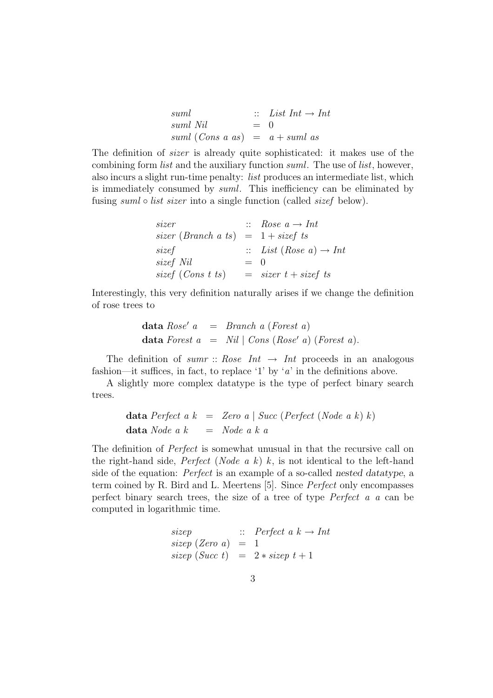| suml                             |       | $\therefore$ List Int $\rightarrow$ Int |
|----------------------------------|-------|-----------------------------------------|
| suml Nil                         | $=$ 0 |                                         |
| suml (Cons a as) $= a + suml$ as |       |                                         |

The definition of sizer is already quite sophisticated: it makes use of the combining form *list* and the auxiliary function *suml*. The use of *list*, however, also incurs a slight run-time penalty: list produces an intermediate list, which is immediately consumed by suml. This inefficiency can be eliminated by fusing *suml* ∘ *list sizer* into a single function (called *sizef* below).

| sizer                                 |       | $\therefore$ Rose $a \rightarrow Int$        |
|---------------------------------------|-------|----------------------------------------------|
| sizer (Branch a ts) = $1 + size f$ ts |       |                                              |
| sizef                                 |       | $\therefore$ List (Rose a) $\rightarrow$ Int |
| sizef Nil                             | $=$ 0 |                                              |
| sizef (Cons t ts)                     |       | $=$ sizer t + sizef ts                       |

Interestingly, this very definition naturally arises if we change the definition of rose trees to

$$
\begin{array}{lll}\n\textbf{data} & \textit{Rose'} \ a & = & \textit{Branch} \ a \ (\textit{Forest} \ a) \\
\textbf{data} & \textit{Forest} \ a & = & \textit{Nil} \ | \ \textit{Cons} \ (\textit{Rose'} \ a) \ (\textit{Forest} \ a).\n\end{array}
$$

The definition of sum r:: Rose Int  $\rightarrow$  Int proceeds in an analogous fashion—it suffices, in fact, to replace '1' by 'a' in the definitions above.

A slightly more complex datatype is the type of perfect binary search trees.

$$
\begin{array}{rcl}\n\textbf{data Perfect} & a \mid k & = & Zero \ a \mid Succ \ (Perfect \ (Node \ a \ k) \ k) \\
\textbf{data Node} & a \mid k & = & Node \ a \ k \ a\n\end{array}
$$

The definition of *Perfect* is somewhat unusual in that the recursive call on the right-hand side, *Perfect* (*Node a k*)  $k$ , is not identical to the left-hand side of the equation: Perfect is an example of a so-called *nested datatype*, a term coined by R. Bird and L. Meertens [5]. Since Perfect only encompasses perfect binary search trees, the size of a tree of type Perfect a a can be computed in logarithmic time.

```
sizep :: Perfect a \, k \rightarrow Intsizep (Zero a) = 1
sizep (Succ t) = 2 * sizep t + 1
```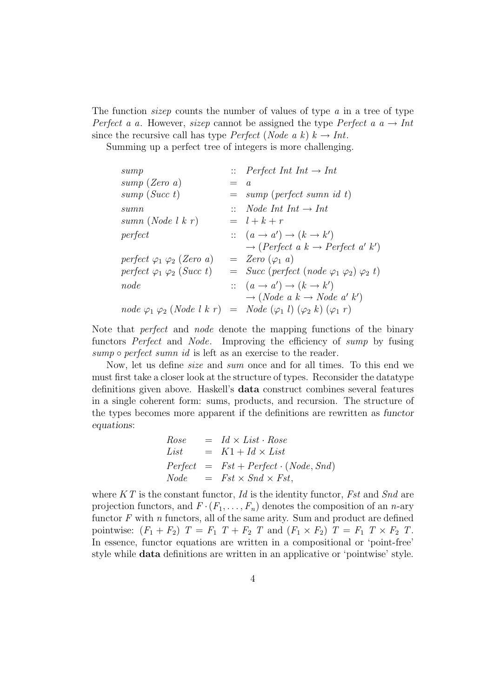The function *sizep* counts the number of values of type a in a tree of type Perfect a a. However, sizep cannot be assigned the type Perfect a  $a \rightarrow Int$ since the recursive call has type *Perfect* (*Node a k*)  $k \rightarrow Int$ .

Summing up a perfect tree of integers is more challenging.

| sump                                   |         | $\therefore$ Perfect Int Int $\rightarrow$ Int                                                        |
|----------------------------------------|---------|-------------------------------------------------------------------------------------------------------|
| sump (Zero a)                          | $=$ $a$ |                                                                                                       |
| sump(Succ t)                           |         | $=$ sump (perfect sumn id t)                                                                          |
| sumn                                   |         | $\therefore$ Node Int Int $\rightarrow$ Int                                                           |
| sumn (Node $l k r$ )                   |         | $=$ $l+k+r$                                                                                           |
| perfect                                |         | $\therefore$ $(a \rightarrow a') \rightarrow (k \rightarrow k')$                                      |
|                                        |         | $\rightarrow (Perfect\ a\ k \rightarrow Perfect\ a'\ k')$                                             |
| perfect $\varphi_1 \varphi_2$ (Zero a) |         | $= \text{Zero } (\varphi_1 \text{ } a)$                                                               |
| perfect $\varphi_1 \varphi_2$ (Succ t) |         | $=$ Succ (perfect (node $\varphi_1$ $\varphi_2$ ) $\varphi_2$ t)                                      |
| node                                   |         | $\therefore$ $(a \rightarrow a') \rightarrow (k \rightarrow k')$                                      |
|                                        |         | $\rightarrow (Node \ a \ k \rightarrow Node \ a' \ k')$                                               |
|                                        |         | $node \varphi_1 \varphi_2 (Node \, k \, r) = Node (\varphi_1 \, l) (\varphi_2 \, k) (\varphi_1 \, r)$ |

Note that *perfect* and *node* denote the mapping functions of the binary functors *Perfect* and *Node*. Improving the efficiency of sump by fusing sump  $\circ$  perfect sumn id is left as an exercise to the reader.

Now, let us define size and sum once and for all times. To this end we must first take a closer look at the structure of types. Reconsider the datatype definitions given above. Haskell's **data** construct combines several features in a single coherent form: sums, products, and recursion. The structure of the types becomes more apparent if the definitions are rewritten as *functor equations*:

$$
Rose = Id \times List \cdot Rose
$$
  
List = K1 + Id \times List  
Perfect = Fst + Perfect \cdot (Node, Snd)  
Node = Fst \times Snd \times Fst,

where  $KT$  is the constant functor, Id is the identity functor, Fst and Snd are projection functors, and  $F \cdot (F_1, \ldots, F_n)$  denotes the composition of an *n*-ary functor  $F$  with  $n$  functors, all of the same arity. Sum and product are defined pointwise:  $(F_1 + F_2)$   $T = F_1$   $T + F_2$   $T$  and  $(F_1 \times F_2)$   $T = F_1$   $T \times F_2$   $T$ . In essence, functor equations are written in a compositional or 'point-free' style while **data** definitions are written in an applicative or 'pointwise' style.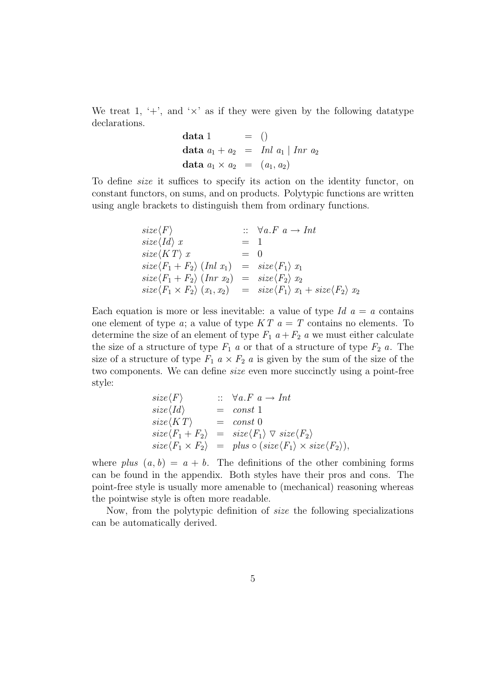We treat 1,  $\ddot{ }$ , and  $\dot{ }$   $\times$  as if they were given by the following datatype declarations.

$$
\begin{array}{rcl}\n\textbf{data 1} & = & () \\
\textbf{data } a_1 + a_2 & = & \text{Inl } a_1 \mid \text{Inr } a_2 \\
\textbf{data } a_1 \times a_2 & = & (a_1, a_2)\n\end{array}
$$

To define size it suffices to specify its action on the identity functor, on constant functors, on sums, and on products. Polytypic functions are written using angle brackets to distinguish them from ordinary functions.

$$
size\langle F \rangle \qquad :: \forall a.F \ a \rightarrow Int
$$
  
\n
$$
size\langle Id \rangle x = 1
$$
  
\n
$$
size\langle KT \rangle x = 0
$$
  
\n
$$
size\langle F_1 + F_2 \rangle (Inl \ x_1) = size\langle F_1 \rangle x_1
$$
  
\n
$$
size\langle F_1 + F_2 \rangle (Inr \ x_2) = size\langle F_2 \rangle x_2
$$
  
\n
$$
size\langle F_1 \times F_2 \rangle (x_1, x_2) = size\langle F_1 \rangle x_1 + size\langle F_2 \rangle x_2
$$

Each equation is more or less inevitable: a value of type  $Id a = a$  contains one element of type  $a$ ; a value of type  $KT$   $a = T$  contains no elements. To determine the size of an element of type  $F_1$   $a + F_2$  a we must either calculate the size of a structure of type  $F_1$  a or that of a structure of type  $F_2$  a. The size of a structure of type  $F_1$   $a \times F_2$  a is given by the sum of the size of the two components. We can define size even more succinctly using a point-free style:

$$
size\langle F \rangle \qquad :: \forall a.F \ a \rightarrow Int
$$
  
\n
$$
size\langle Id \rangle = const 1
$$
  
\n
$$
size\langle KT \rangle = const 0
$$
  
\n
$$
size\langle F_1 + F_2 \rangle = size\langle F_1 \rangle \nabla size\langle F_2 \rangle
$$
  
\n
$$
size\langle F_1 \times F_2 \rangle = plus \circ (size\langle F_1 \rangle \times size\langle F_2 \rangle),
$$

where  $plus (a, b) = a + b$ . The definitions of the other combining forms can be found in the appendix. Both styles have their pros and cons. The point-free style is usually more amenable to (mechanical) reasoning whereas the pointwise style is often more readable.

Now, from the polytypic definition of size the following specializations can be automatically derived.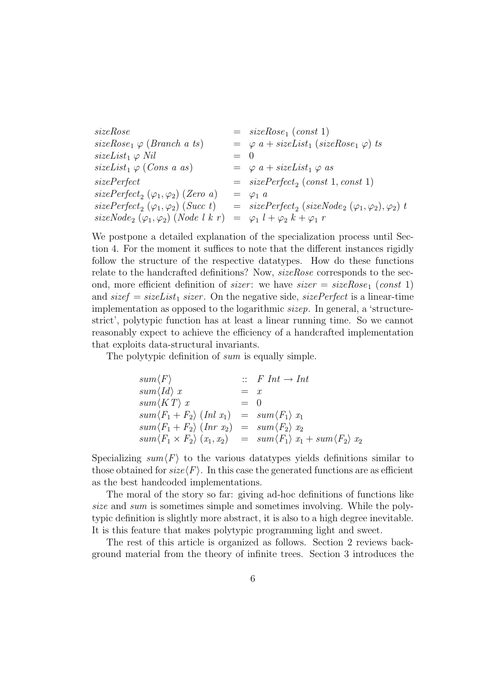```
sizeRose = sizeRose<sub>1</sub> (const 1)sizeRose_1 \varphi (Branch a ts) = \varphi a + sizeList_1 (sizeRose_1 \varphi) ts
sizeList_1 \varphi Nil = 0
sizeList_1 \varphi \ (Cons\ a\ as) = \varphi \ a + sizeList_1 \varphi \ assizePerfect = sizePerfect_2 (const 1, const 1)sizePerfect_2 (\varphi_1, \varphi_2) (Zero\ a) = \varphi_1 \ a<br>
sizePerfect_2 (\varphi_1, \varphi_2) (Succ\ t) = sizeB= sizePerfect_2 (sizeNode_2 (\varphi_1, \varphi_2), \varphi_2) t
sizeNode_2 (\varphi_1, \varphi_2) (Node \, l \, k \, r) = \varphi_1 l + \varphi_2 k + \varphi_1 r
```
We postpone a detailed explanation of the specialization process until Section 4. For the moment it suffices to note that the different instances rigidly follow the structure of the respective datatypes. How do these functions relate to the handcrafted definitions? Now, sizeRose corresponds to the second, more efficient definition of *sizer*: we have  $size = sizeRose_1 (const 1)$ and  $size f = sizeList_1 \, sizer$ . On the negative side,  $sizePerfect$  is a linear-time implementation as opposed to the logarithmic sizep. In general, a 'structurestrict', polytypic function has at least a linear running time. So we cannot reasonably expect to achieve the efficiency of a handcrafted implementation that exploits data-structural invariants.

The polytypic definition of sum is equally simple.

$$
sum\langle F \rangle \qquad :: F \text{ Int} \rightarrow \text{Int}
$$
  
\n
$$
sum\langle Id \rangle x = x
$$
  
\n
$$
sum\langle KT \rangle x = 0
$$
  
\n
$$
sum\langle F_1 + F_2 \rangle (\text{Int } x_1) = sum\langle F_1 \rangle x_1
$$
  
\n
$$
sum\langle F_1 + F_2 \rangle (\text{Int } x_2) = sum\langle F_2 \rangle x_2
$$
  
\n
$$
sum\langle F_1 \times F_2 \rangle (x_1, x_2) = sum\langle F_1 \rangle x_1 + sum\langle F_2 \rangle x_2
$$

Specializing  $sum\langle F \rangle$  to the various datatypes yields definitions similar to those obtained for  $size\langle F \rangle$ . In this case the generated functions are as efficient as the best handcoded implementations.

The moral of the story so far: giving ad-hoc definitions of functions like size and sum is sometimes simple and sometimes involving. While the polytypic definition is slightly more abstract, it is also to a high degree inevitable. It is this feature that makes polytypic programming light and sweet.

The rest of this article is organized as follows. Section 2 reviews background material from the theory of infinite trees. Section 3 introduces the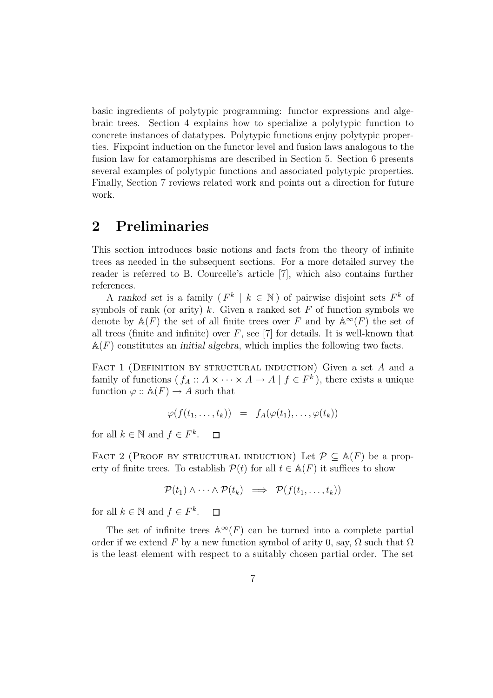basic ingredients of polytypic programming: functor expressions and algebraic trees. Section 4 explains how to specialize a polytypic function to concrete instances of datatypes. Polytypic functions enjoy polytypic properties. Fixpoint induction on the functor level and fusion laws analogous to the fusion law for catamorphisms are described in Section 5. Section 6 presents several examples of polytypic functions and associated polytypic properties. Finally, Section 7 reviews related work and points out a direction for future work.

### **2 Preliminaries**

This section introduces basic notions and facts from the theory of infinite trees as needed in the subsequent sections. For a more detailed survey the reader is referred to B. Courcelle's article [7], which also contains further references.

A *ranked set* is a family  $(F^k \mid k \in \mathbb{N})$  of pairwise disjoint sets  $F^k$  of symbols of rank (or arity) k. Given a ranked set F of function symbols we denote by  $\mathbb{A}(F)$  the set of all finite trees over F and by  $\mathbb{A}^{\infty}(F)$  the set of all trees (finite and infinite) over  $F$ , see [7] for details. It is well-known that  $A(F)$  constitutes an *initial algebra*, which implies the following two facts.

FACT 1 (DEFINITION BY STRUCTURAL INDUCTION) Given a set  $A$  and a family of functions  $(f_A : A \times \cdots \times A \to A | f \in F^k)$ , there exists a unique function  $\varphi$  ::  $\mathbb{A}(F) \to A$  such that

$$
\varphi(f(t_1,\ldots,t_k)) = f_A(\varphi(t_1),\ldots,\varphi(t_k))
$$

for all  $k \in \mathbb{N}$  and  $f \in F^k$ .  $\Box$ 

FACT 2 (PROOF BY STRUCTURAL INDUCTION) Let  $\mathcal{P} \subseteq \mathbb{A}(F)$  be a property of finite trees. To establish  $\mathcal{P}(t)$  for all  $t \in \mathbb{A}(F)$  it suffices to show

$$
\mathcal{P}(t_1) \wedge \cdots \wedge \mathcal{P}(t_k) \implies \mathcal{P}(f(t_1, \ldots, t_k))
$$

for all  $k \in \mathbb{N}$  and  $f \in F^k$ .  $\Box$ 

The set of infinite trees  $\mathbb{A}^{\infty}(F)$  can be turned into a complete partial order if we extend F by a new function symbol of arity 0, say,  $\Omega$  such that  $\Omega$ is the least element with respect to a suitably chosen partial order. The set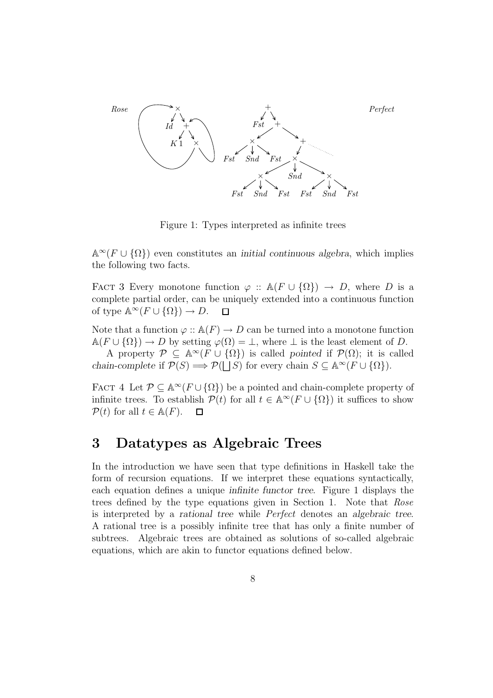

Figure 1: Types interpreted as infinite trees

 $\mathbb{A}^{\infty}(F \cup {\Omega})$  even constitutes an *initial continuous algebra*, which implies the following two facts.

FACT 3 Every monotone function  $\varphi$  ::  $\mathbb{A}(F \cup \{\Omega\}) \to D$ , where D is a complete partial order, can be uniquely extended into a continuous function of type  $\mathbb{A}^{\infty}(F \cup \{\Omega\}) \to D$ .  $\Box$ 

Note that a function  $\varphi$  ::  $\mathbb{A}(F) \to D$  can be turned into a monotone function  $\mathbb{A}(F \cup \{\Omega\}) \to D$  by setting  $\varphi(\Omega) = \bot$ , where  $\bot$  is the least element of D.

A property  $\mathcal{P} \subseteq \mathbb{A}^{\infty}(F \cup {\Omega})$  is called *pointed* if  $\mathcal{P}(\Omega)$ ; it is called *chain-complete* if  $\mathcal{P}(S) \Longrightarrow \mathcal{P}(\Box S)$  for every chain  $S \subseteq \mathbb{A}^{\infty}(F \cup \{\Omega\}).$ 

FACT 4 Let  $\mathcal{P} \subseteq \mathbb{A}^{\infty}(F \cup {\Omega})$  be a pointed and chain-complete property of infinite trees. To establish  $\mathcal{P}(t)$  for all  $t \in \mathbb{A}^{\infty}(F \cup {\Omega})$  it suffices to show  $\mathcal{P}(t)$  for all  $t \in \mathbb{A}(F)$ .  $\Box$ 

### **3 Datatypes as Algebraic Trees**

In the introduction we have seen that type definitions in Haskell take the form of recursion equations. If we interpret these equations syntactically, each equation defines a unique *infinite functor tree*. Figure 1 displays the trees defined by the type equations given in Section 1. Note that Rose is interpreted by a *rational tree* while Perfect denotes an *algebraic tree*. A rational tree is a possibly infinite tree that has only a finite number of subtrees. Algebraic trees are obtained as solutions of so-called algebraic equations, which are akin to functor equations defined below.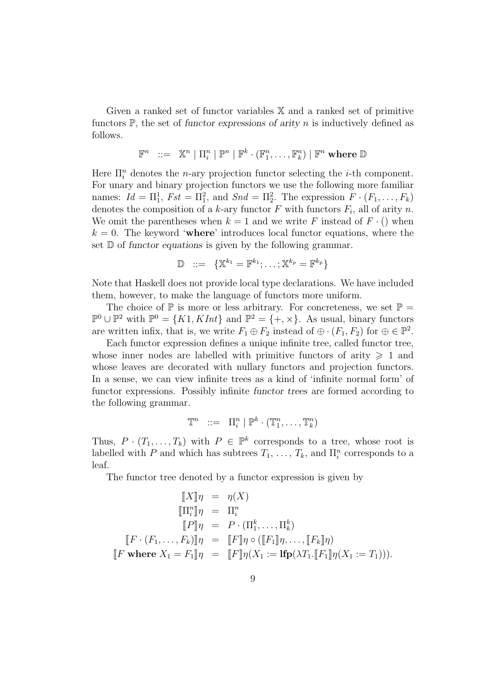Given a ranked set of functor variables X and a ranked set of primitive functors P, the set of *functor expressions of arity* n is inductively defined as follows.

$$
\mathbb{F}^n \hspace{2mm} ::= \hspace{2mm} \mathbb{X}^n \hspace{2mm} | \hspace{2mm} \Pi^n_i \hspace{2mm} | \hspace{2mm} \mathbb{P}^n \hspace{2mm} | \hspace{2mm} \mathbb{F}^k \cdot (\mathbb{F}^n_1, \ldots, \mathbb{F}^n_k) \hspace{2mm} | \hspace{2mm} \mathbb{F}^n \hspace{2mm} \textbf{where} \hspace{2mm} \mathbb{D}
$$

Here  $\Pi_i^n$  denotes the *n*-ary projection functor selecting the *i*-th component. For unary and binary projection functors we use the following more familiar names:  $Id = \Pi_1^1$ ,  $Fst = \Pi_1^2$ , and  $Snd = \Pi_2^2$ . The expression  $F \cdot (F_1, \ldots, F_k)$ denotes the composition of a k-ary functor F with functors  $F_i$ , all of arity n. We omit the parentheses when  $k = 1$  and we write F instead of  $F \cdot ()$  when  $k = 0$ . The keyword '**where**' introduces local functor equations, where the set D of *functor equations* is given by the following grammar.

$$
\mathbb{D} \quad ::= \quad \{ \mathbb{X}^{k_1} = \mathbb{F}^{k_1}; \ldots; \mathbb{X}^{k_p} = \mathbb{F}^{k_p} \}
$$

Note that Haskell does not provide local type declarations. We have included them, however, to make the language of functors more uniform.

The choice of  $\mathbb P$  is more or less arbitrary. For concreteness, we set  $\mathbb P$  =  $\mathbb{P}^0 \cup \mathbb{P}^2$  with  $\mathbb{P}^0 = \{K1, KInt\}$  and  $\mathbb{P}^2 = \{+, \times\}$ . As usual, binary functors are written infix, that is, we write  $F_1 \oplus F_2$  instead of  $\oplus \cdot (F_1, F_2)$  for  $\oplus \in \mathbb{P}^2$ .

Each functor expression defines a unique infinite tree, called functor tree, whose inner nodes are labelled with primitive functors of arity  $\geq 1$  and whose leaves are decorated with nullary functors and projection functors. In a sense, we can view infinite trees as a kind of 'infinite normal form' of functor expressions. Possibly infinite *functor trees* are formed according to the following grammar.

$$
\mathbb{T}^n \quad ::= \quad \Pi_i^n \mid \mathbb{P}^k \cdot (\mathbb{T}_1^n, \dots, \mathbb{T}_k^n)
$$

Thus,  $P \cdot (T_1, \ldots, T_k)$  with  $P \in \mathbb{P}^k$  corresponds to a tree, whose root is labelled with P and which has subtrees  $T_1, \ldots, T_k$ , and  $\Pi_i^n$  corresponds to a leaf.

The functor tree denoted by a functor expression is given by

$$
\begin{aligned}\n\llbracket X \rrbracket \eta &= \eta(X) \\
\llbracket \Pi_i^n \rrbracket \eta &= \Pi_i^n \\
\llbracket P \rrbracket \eta &= P \cdot (\Pi_1^k, \dots, \Pi_k^k) \\
\llbracket F \cdot (F_1, \dots, F_k) \rrbracket \eta &= \llbracket F \rrbracket \eta \circ (\llbracket F_1 \rrbracket \eta, \dots, \llbracket F_k \rrbracket \eta) \\
\llbracket F \text{ where } X_1 = F_1 \rrbracket \eta &= \llbracket F \rrbracket \eta(X_1 := \text{Ifp}(\lambda T_1. \llbracket F_1 \rrbracket \eta(X_1 := T_1))).\n\end{aligned}
$$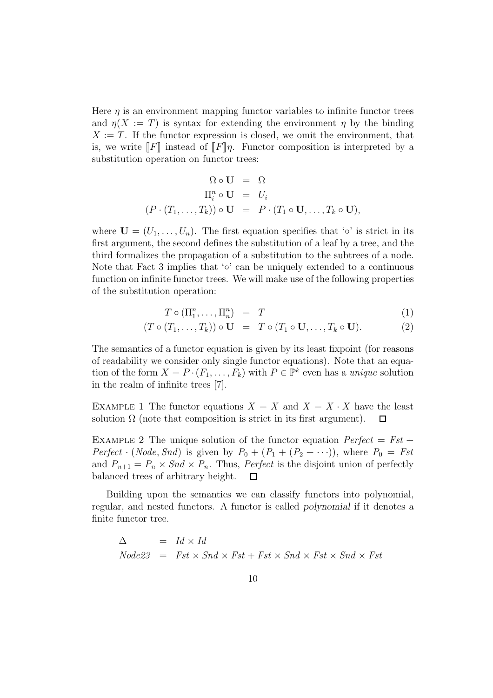Here  $\eta$  is an environment mapping functor variables to infinite functor trees and  $\eta(X := T)$  is syntax for extending the environment  $\eta$  by the binding  $X := T$ . If the functor expression is closed, we omit the environment, that is, we write  $\llbracket F \rrbracket$  instead of  $\llbracket F \rrbracket \eta$ . Functor composition is interpreted by a substitution operation on functor trees:

$$
\Omega \circ \mathbf{U} = \Omega
$$
  
\n
$$
\Pi_i^n \circ \mathbf{U} = U_i
$$
  
\n
$$
(P \cdot (T_1, \dots, T_k)) \circ \mathbf{U} = P \cdot (T_1 \circ \mathbf{U}, \dots, T_k \circ \mathbf{U}),
$$

where  $\mathbf{U} = (U_1, \ldots, U_n)$ . The first equation specifies that ' $\circ$ ' is strict in its first argument, the second defines the substitution of a leaf by a tree, and the third formalizes the propagation of a substitution to the subtrees of a node. Note that Fact 3 implies that  $\circ$  can be uniquely extended to a continuous function on infinite functor trees. We will make use of the following properties of the substitution operation:

$$
T \circ (\Pi_1^n, \dots, \Pi_n^n) = T \tag{1}
$$

$$
(T \circ (T_1, \ldots, T_k)) \circ U = T \circ (T_1 \circ U, \ldots, T_k \circ U).
$$
 (2)

The semantics of a functor equation is given by its least fixpoint (for reasons of readability we consider only single functor equations). Note that an equation of the form  $X = P \cdot (F_1, \ldots, F_k)$  with  $P \in \mathbb{P}^k$  even has a *unique* solution in the realm of infinite trees [7].

EXAMPLE 1 The functor equations  $X = X$  and  $X = X \cdot X$  have the least solution  $\Omega$  (note that composition is strict in its first argument).  $\Box$ 

EXAMPLE 2 The unique solution of the functor equation  $Perfect = Fst +$ Perfect · (Node, Snd) is given by  $P_0 + (P_1 + (P_2 + \cdots))$ , where  $P_0 = Fst$ and  $P_{n+1} = P_n \times Snd \times P_n$ . Thus, *Perfect* is the disjoint union of perfectly balanced trees of arbitrary height. П

Building upon the semantics we can classify functors into polynomial, regular, and nested functors. A functor is called *polynomial* if it denotes a finite functor tree.

 $\Delta$  =  $Id \times Id$  $Node23 = Fst \times Snd \times Fst + Fst \times Snd \times Fst \times Snd \times Fst$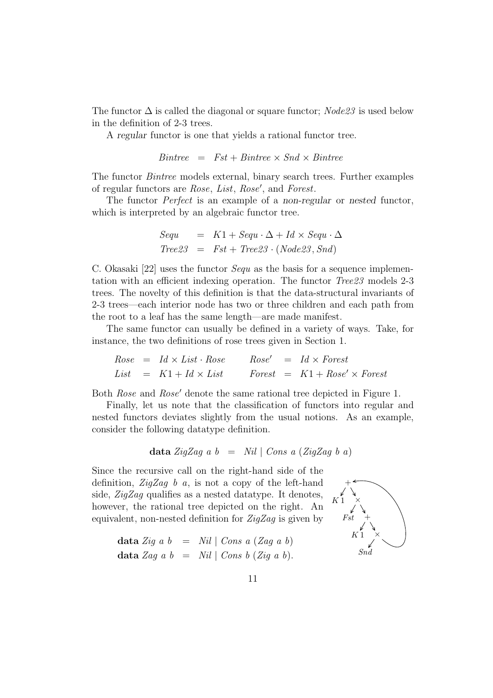The functor  $\Delta$  is called the diagonal or square functor;  $Node23$  is used below in the definition of 2-3 trees.

A *regular* functor is one that yields a rational functor tree.

$$
Bintree = Fst + Bintree \times Snd \times Bintree
$$

The functor Bintree models external, binary search trees. Further examples of regular functors are Rose, List, Rose , and Forest.

The functor Perfect is an example of a *non-regular* or *nested* functor, which is interpreted by an algebraic functor tree.

$$
Sequ = K1 + Sequ \cdot \Delta + Id \times Sequ \cdot \Delta
$$
  
Tree23 = Fst + Tree23 \cdot (Node23, Snd)

C. Okasaki [22] uses the functor *Sequ* as the basis for a sequence implementation with an efficient indexing operation. The functor Tree23 models 2-3 trees. The novelty of this definition is that the data-structural invariants of 2-3 trees—each interior node has two or three children and each path from the root to a leaf has the same length—are made manifest.

The same functor can usually be defined in a variety of ways. Take, for instance, the two definitions of rose trees given in Section 1.

$$
Rose = Id \times List \cdot Rose
$$
  
 
$$
Ease' = Id \times Forest
$$
  
 
$$
List = K1 + Id \times List
$$
  
 
$$
Forest = K1 + Rose' \times Forest
$$

Both Rose and Rose' denote the same rational tree depicted in Figure 1.

Finally, let us note that the classification of functors into regular and nested functors deviates slightly from the usual notions. As an example, consider the following datatype definition.

$$
\text{data } \text{ZigZag} \text{ a } b = \text{Nil} \mid \text{Cons} \text{ a } (\text{ZigZag} \text{ b } a)
$$

Since the recursive call on the right-hand side of the definition,  $\mathbb{Z}ig\mathbb{Z}ag$  b a, is not a copy of the left-hand side, ZigZag qualifies as a nested datatype. It denotes, however, the rational tree depicted on the right. An equivalent, non-nested definition for  $\mathbb{Z}ig\mathbb{Z}ag$  is given by

$$
\begin{array}{rcl}\n\textbf{data } \textit{Zig a b} & = & \textit{Nil} \mid \textit{Cons a (Zag a b)} \\
\textbf{data } \textit{Zag a b} & = & \textit{Nil} \mid \textit{Cons b (Zig a b)}.\n\end{array}
$$

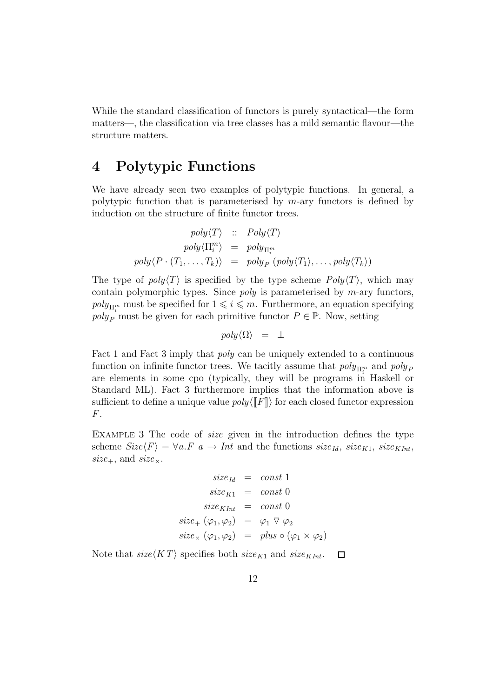While the standard classification of functors is purely syntactical—the form matters—, the classification via tree classes has a mild semantic flavour—the structure matters.

### **4 Polytypic Functions**

We have already seen two examples of polytypic functions. In general, a polytypic function that is parameterised by  $m$ -ary functors is defined by induction on the structure of finite functor trees.

$$
poly\langle T \rangle :: Poly\langle T \rangle
$$

$$
poly\langle \Pi_i^m \rangle = poly_{\Pi_i^m}
$$

$$
poly\langle P \cdot (T_1, \ldots, T_k) \rangle = poly_P (poly\langle T_1 \rangle, \ldots, poly\langle T_k \rangle)
$$

The type of  $poly(T)$  is specified by the type scheme  $Poly(T)$ , which may contain polymorphic types. Since *poly* is parameterised by  $m$ -ary functors,  $poly_{\Pi_i^m}$  must be specified for  $1 \leq i \leq m$ . Furthermore, an equation specifying  $poly_P$  must be given for each primitive functor  $P \in \mathbb{P}$ . Now, setting

$$
poly \langle \Omega \rangle \;\; = \;\; \bot
$$

Fact 1 and Fact 3 imply that poly can be uniquely extended to a continuous function on infinite functor trees. We tacitly assume that  $poly_{\Pi_i^m}$  and  $poly_F$ are elements in some cpo (typically, they will be programs in Haskell or Standard ML). Fact 3 furthermore implies that the information above is sufficient to define a unique value  $poly(\llbracket F \rrbracket)$  for each closed functor expression F.

EXAMPLE 3 The code of *size* given in the introduction defines the type scheme  $Size\langle F \rangle = \forall a.F \ a \rightarrow Int$  and the functions  $size_{Id}$ ,  $size_{K1}$ ,  $size_{KInt}$ ,  $size_+,$  and  $size_\times$ .

$$
size_{Id} = const 1
$$
  
\n
$$
size_{K1} = const 0
$$
  
\n
$$
size_{KInt} = const 0
$$
  
\n
$$
size_{+} (\varphi_{1}, \varphi_{2}) = \varphi_{1} \triangledown \varphi_{2}
$$
  
\n
$$
size_{\times} (\varphi_{1}, \varphi_{2}) = plus \circ (\varphi_{1} \times \varphi_{2})
$$

Note that  $size\langle KT \rangle$  specifies both  $size_{K1}$  and  $size_{KInt}$ .  $\Box$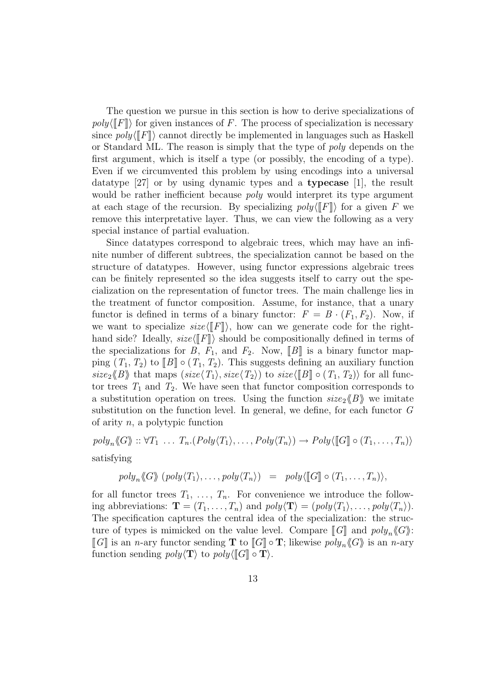The question we pursue in this section is how to derive specializations of  $poly([F])$  for given instances of F. The process of specialization is necessary since  $poly(\llbracket F \rrbracket)$  cannot directly be implemented in languages such as Haskell or Standard ML. The reason is simply that the type of poly depends on the first argument, which is itself a type (or possibly, the encoding of a type). Even if we circumvented this problem by using encodings into a universal datatype [27] or by using dynamic types and a **typecase** [1], the result would be rather inefficient because *poly* would interpret its type argument at each stage of the recursion. By specializing  $poly(\llbracket F \rrbracket)$  for a given F we remove this interpretative layer. Thus, we can view the following as a very special instance of partial evaluation.

Since datatypes correspond to algebraic trees, which may have an infinite number of different subtrees, the specialization cannot be based on the structure of datatypes. However, using functor expressions algebraic trees can be finitely represented so the idea suggests itself to carry out the specialization on the representation of functor trees. The main challenge lies in the treatment of functor composition. Assume, for instance, that a unary functor is defined in terms of a binary functor:  $F = B \cdot (F_1, F_2)$ . Now, if we want to specialize  $size\langle \llbracket F \rrbracket \rangle$ , how can we generate code for the righthand side? Ideally,  $size\langle \llbracket F \rrbracket \rangle$  should be compositionally defined in terms of the specializations for B,  $F_1$ , and  $F_2$ . Now, [B] is a binary functor mapping  $(T_1, T_2)$  to  $[[B]] \circ (T_1, T_2)$ . This suggests defining an auxiliary function  $size_2\langle\!\langle B\rangle\!\rangle$  that maps  $(size\langle T_1\rangle, size\langle T_2\rangle)$  to  $size\langle\llbracket B\rrbracket \circ(T_1, T_2)\rangle$  for all functor trees  $T_1$  and  $T_2$ . We have seen that functor composition corresponds to a substitution operation on trees. Using the function  $size_2\langle\!\langle B \rangle\!\rangle$  we imitate substitution on the function level. In general, we define, for each functor G of arity  $n$ , a polytypic function

$$
poly_n \langle G \rangle_{\mathfrak{m}} : \forall T_1 \ldots T_n. (Poly \langle T_1 \rangle, \ldots, Poly \langle T_n \rangle) \rightarrow Poly \langle [[G]] \circ (T_1, \ldots, T_n) \rangle
$$

satisfying

$$
poly_n \langle G \rangle (poly \langle T_1 \rangle, \ldots, poly \langle T_n \rangle) = poly \langle [G] \circ (T_1, \ldots, T_n) \rangle,
$$

for all functor trees  $T_1, \ldots, T_n$ . For convenience we introduce the following abbreviations:  $\mathbf{T} = (T_1, \ldots, T_n)$  and  $poly(\mathbf{T}) = (poly(T_1), \ldots, poly(T_n)).$ The specification captures the central idea of the specialization: the structure of types is mimicked on the value level. Compare  $[[G]]$  and  $poly_n \langle G \rangle$ :  $\llbracket G \rrbracket$  is an *n*-ary functor sending **T** to  $\llbracket G \rrbracket \circ \mathbf{T}$ ; likewise  $poly_n \langle G \rangle$  is an *n*-ary function sending  $poly(\mathbf{T})$  to  $poly(\llbracket G \rrbracket \circ \mathbf{T}).$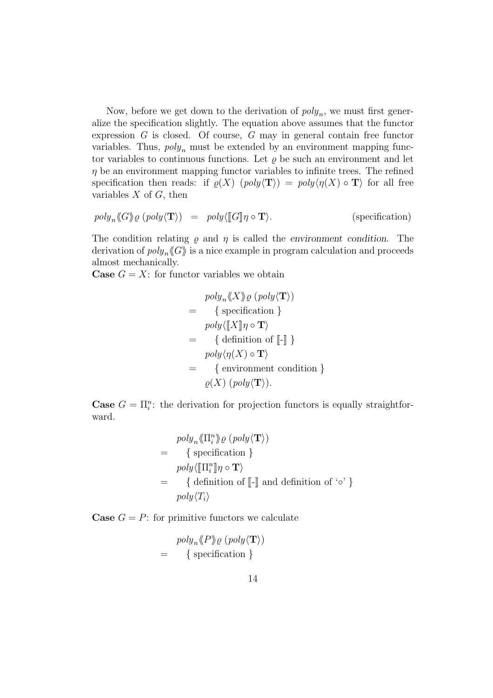Now, before we get down to the derivation of  $poly_n$ , we must first generalize the specification slightly. The equation above assumes that the functor expression G is closed. Of course, G may in general contain free functor variables. Thus,  $poly_n$  must be extended by an environment mapping functor variables to continuous functions. Let  $\rho$  be such an environment and let  $\eta$  be an environment mapping functor variables to infinite trees. The refined specification then reads: if  $\rho(X)$  (poly $\langle T \rangle$ ) = poly $\langle \eta(X) \circ T \rangle$  for all free variables  $X$  of  $G$ , then

$$
poly_n \langle G \rangle_Q (poly \langle T \rangle) = poly \langle [G] \eta \circ T \rangle.
$$
 (specification)

The condition relating  $\rho$  and  $\eta$  is called the *environment condition*. The derivation of  $poly_n \langle G \rangle$  is a nice example in program calculation and proceeds almost mechanically.

**Case**  $G = X$ : for functor variables we obtain

$$
poly_n \langle X \rangle \varrho (poly \langle \mathbf{T} \rangle)
$$
\n
$$
= \{ \text{specification } \}
$$
\n
$$
poly \langle \llbracket X \rrbracket \eta \circ \mathbf{T} \rangle
$$
\n
$$
= \{ \text{definition of } \llbracket - \rrbracket \} \}
$$
\n
$$
poly \langle \eta(X) \circ \mathbf{T} \rangle
$$
\n
$$
= \{ \text{environment condition } \} \}
$$
\n
$$
\varrho(X) (poly \langle \mathbf{T} \rangle).
$$

**Case**  $G = \prod_i^n$ : the derivation for projection functors is equally straightforward.

$$
poly_n \langle \Pi_i^n \rangle \rho (poly \langle \mathbf{T} \rangle)
$$
  
= { specificity }  
poly \langle [\![\Pi\_i^n]\!] \eta \circ \mathbf{T} \rangle  
= {definition of [\![-]\!] and definition of 'o' }  
poly \langle T\_i \rangle

**Case**  $G = P$ : for primitive functors we calculate

$$
poly_n \langle P \rangle \varrho \ (poly \langle \mathbf{T} \rangle)
$$
  
= { specification }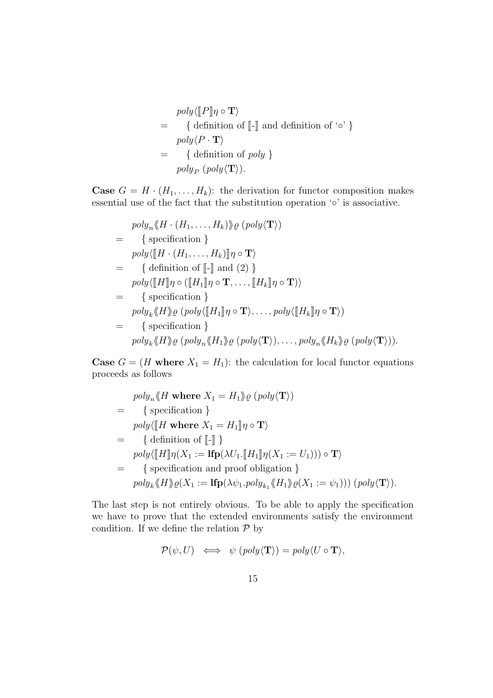$$
poly \langle [P] \eta \circ \mathbf{T} \rangle
$$
  
= { definition of [-] and definition of 'o' }  

$$
poly \langle P \cdot \mathbf{T} \rangle
$$
  
= { definition of poly }  

$$
poly_P (poly \langle \mathbf{T} \rangle).
$$

**Case**  $G = H \cdot (H_1, \ldots, H_k)$ : the derivation for functor composition makes essential use of the fact that the substitution operation  $\circ$ ' is associative.

$$
poly_n \langle H \cdot (H_1, \ldots, H_k) \rangle \rho (poly \langle \mathbf{T} \rangle)
$$
\n
$$
= \{ \text{specification } \}
$$
\n
$$
poly \langle [H \cdot (H_1, \ldots, H_k)] \eta \circ \mathbf{T} \rangle
$$
\n
$$
= \{ \text{definition of } [-] \text{ and } (2) \}
$$
\n
$$
poly \langle [H] \eta \circ ([H_1] \eta \circ \mathbf{T}, \ldots, [H_k] \eta \circ \mathbf{T}) \rangle
$$
\n
$$
= \{ \text{specification } \}
$$
\n
$$
poly_k \langle H \rangle \rho (poly \langle [H_1] \eta \circ \mathbf{T} \rangle, \ldots, poly \langle [H_k] \eta \circ \mathbf{T} \rangle)
$$
\n
$$
= \{ \text{specification } \}
$$
\n
$$
poly_k \langle H \rangle \rho (poly_n \langle H_1 \rangle \rho (poly \langle \mathbf{T} \rangle), \ldots, poly_n \langle H_k \rangle \rho (poly \langle \mathbf{T} \rangle)).
$$

**Case**  $G = (H \text{ where } X_1 = H_1)$ : the calculation for local functor equations proceeds as follows

$$
poly_n \langle H \text{ where } X_1 = H_1 \rangle \rho (poly \langle \mathbf{T} \rangle)
$$
  
= { specificity  
poly\langle [H \text{ where } X\_1 = H\_1] \eta \circ \mathbf{T} \rangle  
= {definition of [-] }  
poly\langle [H] \eta (X\_1 := \text{Ifp}(\lambda U\_1 . [H\_1] \eta (X\_1 := U\_1))) \circ \mathbf{T} \rangle  
= { specification and proof obligation }  
poly\_k \langle H \rangle \rho (X\_1 := \text{Ifp}(\lambda \psi\_1 . poly\_{k\_1} \langle H\_1 \rangle \rho (X\_1 := \psi\_1))) (poly \langle \mathbf{T} \rangle).

The last step is not entirely obvious. To be able to apply the specification we have to prove that the extended environments satisfy the environment condition. If we define the relation  ${\mathcal P}$  by

$$
\mathcal{P}(\psi, U) \iff \psi \left( \text{poly}(\mathbf{T}) \right) = \text{poly} \langle U \circ \mathbf{T} \rangle,
$$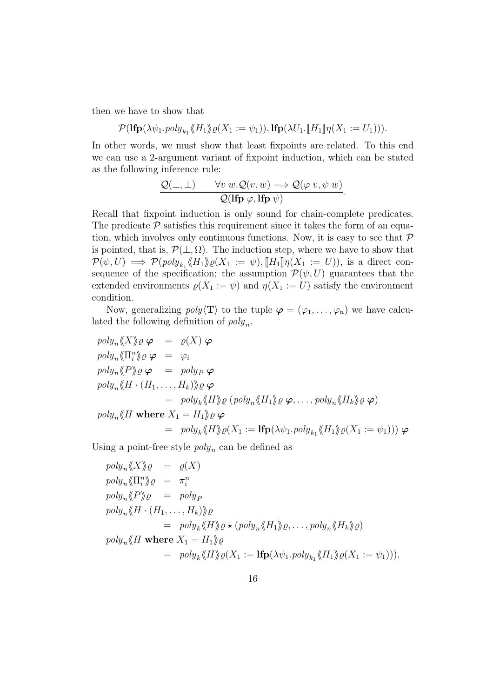then we have to show that

$$
\mathcal{P}(\mathbf{lfp}(\lambda \psi_1.\mathit{poly}_{k_1} \langle \!\langle H_1 \rangle\!\rangle \varrho(X_1 := \psi_1)), \mathbf{lfp}(\lambda U_1.\llbracket H_1 \rrbracket \eta(X_1 := U_1))).
$$

In other words, we must show that least fixpoints are related. To this end we can use a 2-argument variant of fixpoint induction, which can be stated as the following inference rule:

$$
\frac{\mathcal{Q}(\bot,\bot) \qquad \forall v \ w.\mathcal{Q}(v,w) \Longrightarrow \mathcal{Q}(\varphi\ v,\psi\ w)}{\mathcal{Q}(\mathbf{lfp}\ \varphi,\mathbf{lfp}\ \psi)}.
$$

Recall that fixpoint induction is only sound for chain-complete predicates. The predicate  $P$  satisfies this requirement since it takes the form of an equation, which involves only continuous functions. Now, it is easy to see that  $P$ is pointed, that is,  $\mathcal{P}(\perp,\Omega)$ . The induction step, where we have to show that  $\mathcal{P}(\psi, U) \implies \mathcal{P}(\text{poly}_{k_1} \langle H_1 \rangle) \varrho(X_1 := \psi), \llbracket H_1 \rrbracket \eta(X_1 := U)$ , is a direct consequence of the specification; the assumption  $\mathcal{P}(\psi, U)$  guarantees that the extended environments  $\varrho(X_1 := \psi)$  and  $\eta(X_1 := U)$  satisfy the environment condition.

Now, generalizing  $poly(T)$  to the tuple  $\varphi = (\varphi_1, \ldots, \varphi_n)$  we have calculated the following definition of  $poly_n$ .

$$
poly_n \langle X \rangle \varrho \varphi = \varrho(X) \varphi
$$
  
\n
$$
poly_n \langle \Pi^n_i \rangle \varrho \varphi = \varphi_i
$$
  
\n
$$
poly_n \langle P \rangle \varrho \varphi = poly_P \varphi
$$
  
\n
$$
poly_n \langle H \cdot (H_1, ..., H_k) \rangle \varrho \varphi
$$
  
\n
$$
= poly_k \langle H \rangle \varrho (poly_n \langle H_1 \rangle \varrho \varphi, ..., poly_n \langle H_k \rangle \varrho \varphi)
$$
  
\n
$$
poly_n \langle H \text{ where } X_1 = H_1 \rangle \varrho \varphi
$$
  
\n
$$
= poly_k \langle H \rangle \varrho(X_1 := \text{Ifp}(\lambda \psi_1 \cdot poly_{k_1} \langle H_1 \rangle \varrho(X_1 := \psi_1))) \varphi
$$

Using a point-free style  $poly_n$  can be defined as

$$
poly_n \langle X \rangle \varrho = \varrho(X)
$$
  
\n
$$
poly_n \langle \Pi_i^n \rangle \varrho = \pi_i^n
$$
  
\n
$$
poly_n \langle P \rangle \varrho = poly_P
$$
  
\n
$$
poly_n \langle H \cdot (H_1, \dots, H_k) \rangle \varrho
$$
  
\n
$$
= poly_k \langle H \rangle \varrho \star (poly_n \langle H_1 \rangle \varrho, \dots, poly_n \langle H_k \rangle \varrho)
$$
  
\n
$$
poly_n \langle H \text{ where } X_1 = H_1 \rangle \varrho
$$
  
\n
$$
= poly_k \langle H \rangle \varrho(X_1 := \text{Ifp}(\lambda \psi_1, poly_{k_1} \langle H_1 \rangle \varrho(X_1 := \psi_1))),
$$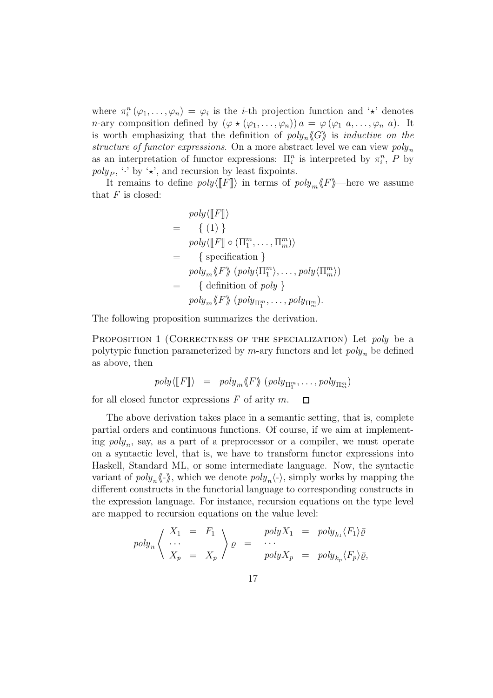where  $\pi_i^n(\varphi_1,\ldots,\varphi_n) = \varphi_i$  is the *i*-th projection function and ' $\star$ ' denotes *n*-ary composition defined by  $(\varphi \star (\varphi_1, \ldots, \varphi_n)) a = \varphi (\varphi_1 a, \ldots, \varphi_n a)$ . It is worth emphasizing that the definition of  $poly_n \langle G \rangle$  is *inductive on the* structure of functor expressions. On a more abstract level we can view  $poly_n$ as an interpretation of functor expressions:  $\Pi_i^n$  is interpreted by  $\pi_i^n$ , P by  $poly_P$ ,  $\cdot$  by  $\cdot \star$ , and recursion by least fixpoints.

It remains to define  $poly(\llbracket F \rrbracket)$  in terms of  $poly_m \llbracket F \rrbracket$ —here we assume that  $F$  is closed:

$$
poly\langle \llbracket F \rrbracket \rangle
$$
\n
$$
= \{ (1) \}
$$
\n
$$
poly\langle \llbracket F \rrbracket \circ (\Pi_1^m, \dots, \Pi_m^m) \rangle
$$
\n
$$
= \{ \text{specification } \}
$$
\n
$$
poly_m \langle F \rangle \ (poly\langle \Pi_1^m \rangle, \dots, poly\langle \Pi_m^m \rangle)
$$
\n
$$
= \{ \text{definition of poly } \}
$$
\n
$$
poly_m \langle F \rangle \ (poly\langle \Pi_1^m, \dots, poly\langle \Pi_m^m \rangle).
$$

The following proposition summarizes the derivation.

PROPOSITION 1 (CORRECTNESS OF THE SPECIALIZATION) Let poly be a polytypic function parameterized by  $m$ -ary functors and let  $poly_n$  be defined as above, then

$$
poly\langle \llbracket F \rrbracket \rangle = poly_m \langle F \rangle \langle poly_{\Pi_1^m}, \dots, poly_{\Pi_m^m} \rangle
$$

for all closed functor expressions  $F$  of arity  $m$ .  $\Box$ 

The above derivation takes place in a semantic setting, that is, complete partial orders and continuous functions. Of course, if we aim at implementing  $poly_n$ , say, as a part of a preprocessor or a compiler, we must operate on a syntactic level, that is, we have to transform functor expressions into Haskell, Standard ML, or some intermediate language. Now, the syntactic variant of  $poly_n\langle\!\langle \cdot \rangle\!\rangle$ , which we denote  $poly_n\langle \cdot \rangle$ , simply works by mapping the different constructs in the functorial language to corresponding constructs in the expression language. For instance, recursion equations on the type level are mapped to recursion equations on the value level:

$$
poly_n \begin{cases} X_1 = F_1 \\ \cdots \\ X_p = X_p \end{cases} \rho = \begin{cases} polyX_1 = poly_{k_1} \langle F_1 \rangle \overline{\varrho} \\ \cdots \\ polyX_p = poly_{k_p} \langle F_p \rangle \overline{\varrho}, \end{cases}
$$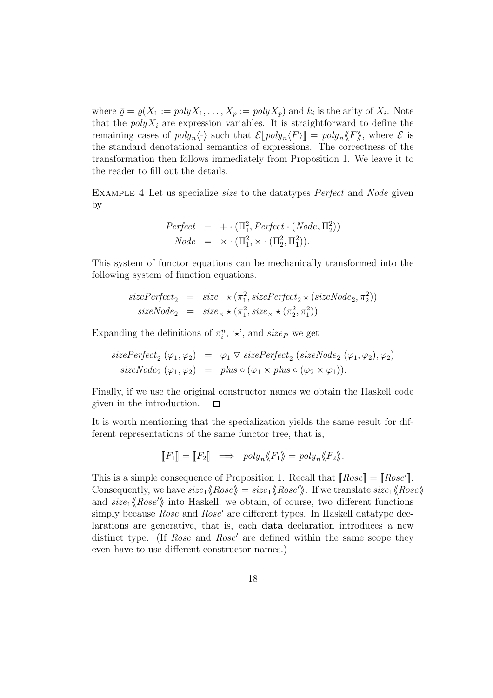where  $\overline{\varrho} = \varrho(X_1 := polyX_1, \ldots, X_p := polyX_p)$  and  $k_i$  is the arity of  $X_i$ . Note that the  $polyX_i$  are expression variables. It is straightforward to define the remaining cases of  $poly_n\langle \cdot \rangle$  such that  $\mathcal{E}[\![poly_n\langle F \rangle]\!]=poly_n\langle \!\langle F \rangle\! \rangle$ , where  $\mathcal E$  is the standard denotational semantics of expressions. The correctness of the transformation then follows immediately from Proposition 1. We leave it to the reader to fill out the details.

Example 4 Let us specialize size to the datatypes Perfect and Node given by

$$
Perfect = + \cdot (\Pi_1^2, Perfect \cdot (Node, \Pi_2^2))
$$
  

$$
Node = \times \cdot (\Pi_1^2, \times \cdot (\Pi_2^2, \Pi_1^2)).
$$

This system of functor equations can be mechanically transformed into the following system of function equations.

$$
sizePerfect_2 = size_+ \times (\pi_1^2, sizePerfect_2 \times (sizeNode_2, \pi_2^2))
$$
  

$$
sizeNode_2 = size_\times \times (\pi_1^2, size_\times \times (\pi_2^2, \pi_1^2))
$$

Expanding the definitions of  $\pi_i^n$ , ' $\star$ ', and size<sub>P</sub> we get

$$
sizePerfect_2 (\varphi_1, \varphi_2) = \varphi_1 \vee sizePerfect_2 (sizeNode_2 (\varphi_1, \varphi_2), \varphi_2)
$$
  

$$
sizeNode_2 (\varphi_1, \varphi_2) = plus \circ (\varphi_1 \times plus \circ (\varphi_2 \times \varphi_1)).
$$

Finally, if we use the original constructor names we obtain the Haskell code given in the introduction.  $\Box$ 

It is worth mentioning that the specialization yields the same result for different representations of the same functor tree, that is,

$$
[\![F_1]\!] = [\![F_2]\!] \implies poly_n \langle \!\langle F_1 \rangle\!\rangle = poly_n \langle \!\langle F_2 \rangle\!\rangle.
$$

This is a simple consequence of Proposition 1. Recall that  $[\textit{Rose}] = [\textit{Rose}']$ . Consequently, we have  $size_1\langle Rose \rangle = size_1\langle Rose' \rangle$ . If we translate  $size_1\langle Rose \rangle$ and  $size_1\langle Rose'\rangle$  into Haskell, we obtain, of course, two different functions simply because *Rose* and *Rose'* are different types. In Haskell datatype declarations are generative, that is, each **data** declaration introduces a new distinct type. (If *Rose* and *Rose'* are defined within the same scope they even have to use different constructor names.)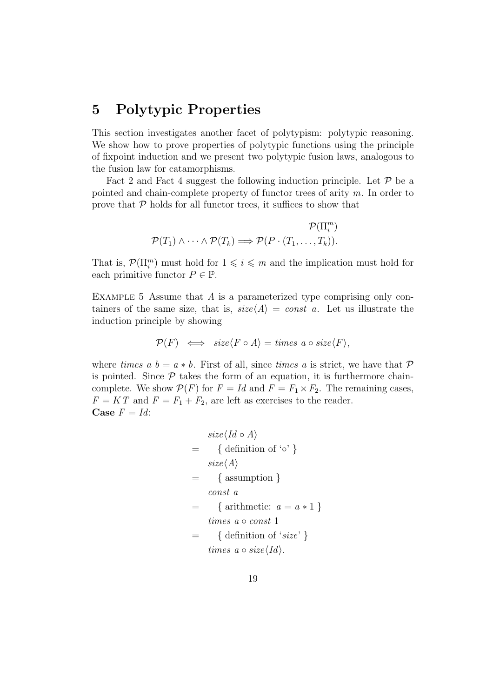### **5 Polytypic Properties**

This section investigates another facet of polytypism: polytypic reasoning. We show how to prove properties of polytypic functions using the principle of fixpoint induction and we present two polytypic fusion laws, analogous to the fusion law for catamorphisms.

Fact 2 and Fact 4 suggest the following induction principle. Let  $P$  be a pointed and chain-complete property of functor trees of arity  $m$ . In order to prove that  $P$  holds for all functor trees, it suffices to show that

$$
\mathcal{P}(\Pi_i^m) \land \cdots \land \mathcal{P}(T_k) \Longrightarrow \mathcal{P}(P \cdot (T_1, \ldots, T_k)).
$$

That is,  $\mathcal{P}(\Pi_i^m)$  must hold for  $1 \leq i \leq m$  and the implication must hold for each primitive functor  $P \in \mathbb{P}$ .

EXAMPLE 5 Assume that  $A$  is a parameterized type comprising only containers of the same size, that is,  $size\langle A \rangle = const \ a$ . Let us illustrate the induction principle by showing

$$
\mathcal{P}(F) \iff \text{size}\langle F \circ A \rangle = \text{times a} \circ \text{size}\langle F \rangle,
$$

where times a  $b = a * b$ . First of all, since times a is strict, we have that P is pointed. Since  $P$  takes the form of an equation, it is furthermore chaincomplete. We show  $P(F)$  for  $F = Id$  and  $F = F_1 \times F_2$ . The remaining cases,  $F = KT$  and  $F = F_1 + F_2$ , are left as exercises to the reader. **Case**  $F = Id$ :

$$
size\langle Id \circ A \rangle
$$
\n
$$
= \{ definition of 'o' \}
$$
\n
$$
size\langle A \rangle
$$
\n
$$
= \{ assumption \}
$$
\n
$$
const a
$$
\n
$$
= \{ arithmetic: a = a * 1 \}
$$
\n
$$
times a o const 1
$$
\n
$$
= \{ definition of 'size' \}
$$
\n
$$
times a o size\langle Id \rangle.
$$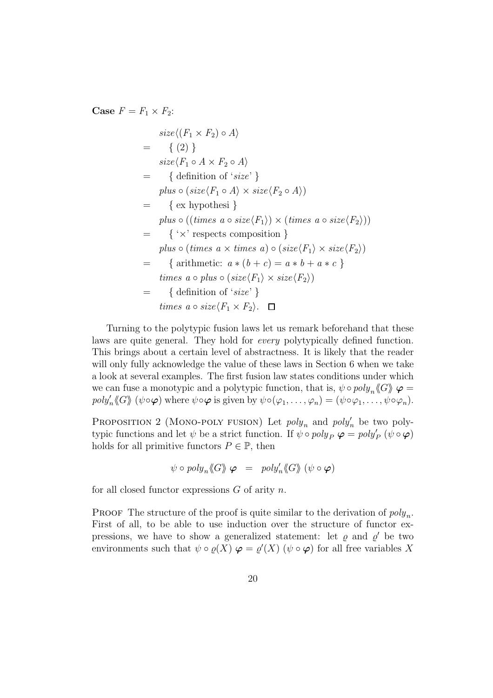**Case**  $F = F_1 \times F_2$ :

$$
size\langle (F_1 \times F_2) \circ A \rangle
$$
  
= { (2) }  
\n
$$
size\langle F_1 \circ A \times F_2 \circ A \rangle
$$
  
= { definition of 'size' }  
\n
$$
plus \circ (size\langle F_1 \circ A \rangle \times size\langle F_2 \circ A \rangle)
$$
  
= { exprothesi }  
\n
$$
plus \circ ((times a \circ size\langle F_1 \rangle) \times (times a \circ size\langle F_2 \rangle))
$$
  
= { 'x' respects composition }  
\n
$$
plus \circ (times a \times times a) \circ (size\langle F_1 \rangle \times size\langle F_2 \rangle)
$$
  
= { arithmetic:  $a * (b + c) = a * b + a * c$ }  
\n
$$
times a \circ plus \circ (size\langle F_1 \rangle \times size\langle F_2 \rangle)
$$
  
= { definition of 'size' }  
\n
$$
times a \circ size\langle F_1 \times F_2 \rangle.
$$

Turning to the polytypic fusion laws let us remark beforehand that these laws are quite general. They hold for every polytypically defined function. This brings about a certain level of abstractness. It is likely that the reader will only fully acknowledge the value of these laws in Section 6 when we take a look at several examples. The first fusion law states conditions under which we can fuse a monotypic and a polytypic function, that is,  $\psi \circ poly_n \langle G \rangle \varphi =$  $poly'_n \langle \mathcal{G} \rangle \rangle \; (\psi \circ \varphi)$  where  $\psi \circ \varphi$  is given by  $\psi \circ (\varphi_1, \ldots, \varphi_n) = (\psi \circ \varphi_1, \ldots, \psi \circ \varphi_n).$ 

PROPOSITION 2 (MONO-POLY FUSION) Let  $poly_n$  and  $poly'_n$  be two polytypic functions and let  $\psi$  be a strict function. If  $\psi \circ poly_P \varphi = poly'_P (\psi \circ \varphi)$ holds for all primitive functors  $P \in \mathbb{P}$ , then

$$
\psi \circ poly_n \langle G \rangle \varphi = poly'_n \langle G \rangle \langle \psi \circ \varphi \rangle
$$

for all closed functor expressions  $G$  of arity  $n$ .

**PROOF** The structure of the proof is quite similar to the derivation of  $poly_n$ . First of all, to be able to use induction over the structure of functor expressions, we have to show a generalized statement: let  $\rho$  and  $\rho'$  be two environments such that  $\psi \circ \varrho(X) \varphi = \varrho'(X)$  ( $\psi \circ \varphi$ ) for all free variables X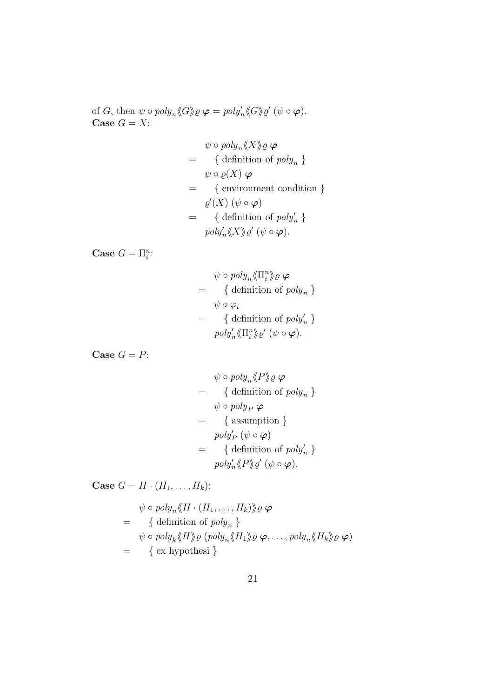of G, then  $\psi \circ poly_n \langle \!\langle G \rangle \!\rangle \varrho \varphi = poly'_n \langle \!\langle G \rangle \!\rangle \varrho' \psi \circ \varphi).$ **Case**  $G = X$ :

$$
\psi \circ poly_n \langle X \rangle \varrho \varphi
$$
\n
$$
= \{ \text{definition of } poly_n \}
$$
\n
$$
\psi \circ \varrho(X) \varphi
$$
\n
$$
= \{ \text{environment condition } \}
$$
\n
$$
\varrho'(X) (\psi \circ \varphi)
$$
\n
$$
= \{ \text{definition of } poly'_n \}
$$
\n
$$
poly'_n \langle X \rangle \varrho' (\psi \circ \varphi).
$$

**Case**  $G = \prod_i^n$ :

$$
\psi \circ poly_n \langle \prod_i^n \rangle \varrho \varphi
$$
\n
$$
= \{ \text{definition of } poly_n \}
$$
\n
$$
= \{ \text{definition of } poly'_n \}
$$
\n
$$
= poly'_n \langle \prod_i^n \rangle \varrho' \ (\psi \circ \varphi).
$$

**Case**  $G = P$ :

$$
\psi \circ poly_n \langle P \rangle \varrho \varphi
$$
\n
$$
= \{ \text{definition of } poly_n \}
$$
\n
$$
\psi \circ poly_P \varphi
$$
\n
$$
= \{ \text{assumption } \}
$$
\n
$$
poly_P' (\psi \circ \varphi)
$$
\n
$$
= \{ \text{definition of } poly'_n \}
$$
\n
$$
poly'_n \langle P \rangle \varrho' (\psi \circ \varphi).
$$

**Case**  $G = H \cdot (H_1, \ldots, H_k)$ :

$$
\psi \circ poly_n \langle H \cdot (H_1, \dots, H_k) \rangle \varrho \varphi
$$
\n
$$
= \{ \text{definition of } poly_n \}
$$
\n
$$
\psi \circ poly_k \langle H \rangle \varrho \left( poly_n \langle H_1 \rangle \varrho \varphi, \dots, poly_n \langle H_k \rangle \varrho \varphi \right)
$$
\n
$$
= \{ \text{ex hypothesis } \}
$$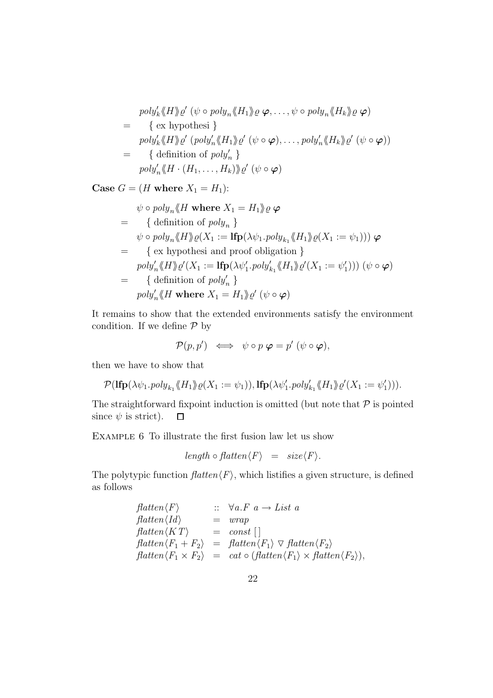$$
poly'_{k} \langle H \rangle \varrho' \ (\psi \circ poly_{n} \langle H_{1} \rangle \varrho \ \varphi, \dots, \psi \circ poly_{n} \langle H_{k} \rangle \varrho \ \varphi)
$$
\n
$$
= \{ \text{ex hypothesis } \}
$$
\n
$$
poly'_{k} \langle H \rangle \varrho' \ (poly'_{n} \langle H_{1} \rangle \varrho' \ (\psi \circ \varphi), \dots, poly'_{n} \langle H_{k} \rangle \varrho' \ (\psi \circ \varphi))
$$
\n
$$
= \{ \text{definition of } poly'_{n} \}
$$
\n
$$
poly'_{n} \langle H \cdot (H_{1}, \dots, H_{k}) \rangle \varrho' \ (\psi \circ \varphi)
$$

**Case**  $G = (H \text{ where } X_1 = H_1)$ :

$$
\psi \circ poly_n \langle H \text{ where } X_1 = H_1 \rangle \varrho \varphi
$$
\n
$$
= \{ \text{definition of } poly_n \}
$$
\n
$$
\psi \circ poly_n \langle H \rangle \varrho(X_1 := \text{Ifp}(\lambda \psi_1 \cdot poly_{k_1} \langle H_1 \rangle \varrho(X_1 := \psi_1))) \varphi
$$
\n
$$
= \{ \text{ex hypothesis and proof obligation } \}
$$
\n
$$
poly'_n \langle H \rangle \varrho'(X_1 := \text{Ifp}(\lambda \psi'_1 \cdot poly'_{k_1} \langle H_1 \rangle \varrho'(X_1 := \psi'_1))) (\psi \circ \varphi)
$$
\n
$$
= \{ \text{definition of } poly'_n \}
$$
\n
$$
poly'_n \langle H \text{ where } X_1 = H_1 \rangle \varrho' (\psi \circ \varphi)
$$

It remains to show that the extended environments satisfy the environment condition. If we define  $P$  by

$$
\mathcal{P}(p,p') \iff \psi \circ p \varphi = p' (\psi \circ \varphi),
$$

then we have to show that

$$
\mathcal{P}(\mathbf{lfp}(\lambda \psi_1.\mathit{poly}_{k_1} \langle \mathcal{H}_1 \rangle \mathit{p}(X_1 := \psi_1)), \mathbf{lfp}(\lambda \psi_1'.\mathit{poly}'_{k_1} \langle \mathcal{H}_1 \rangle \mathit{p}'(X_1 := \psi_1')).
$$

The straightforward fixpoint induction is omitted (but note that  $P$  is pointed since  $\psi$  is strict).  $\Box$ 

Example 6 To illustrate the first fusion law let us show

$$
length \circ flatten \langle F \rangle = size \langle F \rangle.
$$

The polytypic function  $\text{flatten}\langle F\rangle$ , which listifies a given structure, is defined as follows

$$
flatten \langle F \rangle \qquad :: \forall a.F \ a \rightarrow List \ a
$$
  
\n
$$
flatten \langle Id \rangle \qquad = \ wrap
$$
  
\n
$$
flatten \langle KT \rangle \qquad = \ const \ [\ ]
$$
  
\n
$$
flatten \langle F_1 + F_2 \rangle \qquad = \ flatten \langle F_1 \rangle \ \nabla \ flatten \langle F_2 \rangle
$$
  
\n
$$
flatten \langle F_1 \times F_2 \rangle \qquad = \ cat \circ (flatten \langle F_1 \rangle \times flatten \langle F_2 \rangle),
$$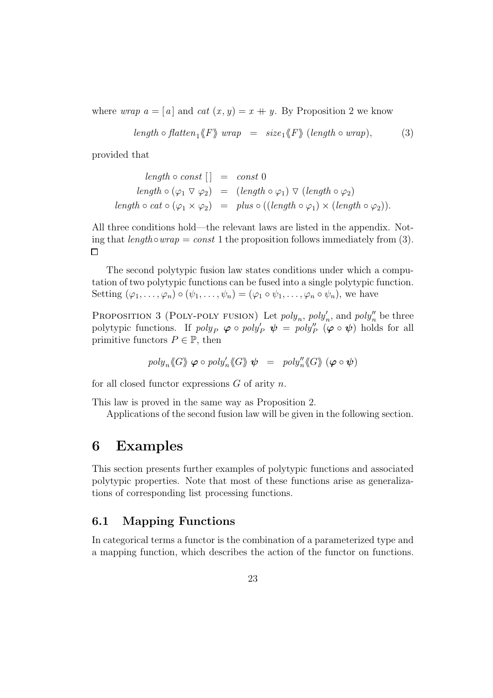where *wrap*  $a = [a]$  and cat  $(x, y) = x + y$ . By Proposition 2 we know

$$
length \circ flatten_1 \langle F \rangle \ wrap = size_1 \langle F \rangle \ (length \circ wrap), \tag{3}
$$

provided that

length 
$$
\circ
$$
 const [] = const 0  
\nlength  $\circ$  ( $\varphi_1 \vee \varphi_2$ ) = (length  $\circ \varphi_1$ )  $\vee$  (length  $\circ \varphi_2$ )  
\nlength  $\circ$  cat  $\circ$  ( $\varphi_1 \times \varphi_2$ ) = plus  $\circ$  ((length  $\circ \varphi_1$ )  $\times$  (length  $\circ \varphi_2$ )).

All three conditions hold—the relevant laws are listed in the appendix. Noting that  $length \circ wrap = const 1$  the proposition follows immediately from (3).  $\Box$ 

The second polytypic fusion law states conditions under which a computation of two polytypic functions can be fused into a single polytypic function. Setting  $(\varphi_1,\ldots,\varphi_n)\circ(\psi_1,\ldots,\psi_n)=(\varphi_1\circ\psi_1,\ldots,\varphi_n\circ\psi_n)$ , we have

PROPOSITION 3 (POLY-POLY FUSION) Let  $poly_n$ ,  $poly'_n$ , and  $poly''_n$  be three polytypic functions. If  $poly_P \varphi \circ poly_P' \psi = poly_P'' \varphi \circ \psi$  holds for all primitive functors  $P \in \mathbb{P}$ , then

$$
poly_n \langle G \rangle \hspace{.04cm} \varphi \circ poly'_n \langle \hspace{-.06cm} \langle G \rangle \hspace{.04cm} \rangle \hspace{.04cm} \psi \hspace{.2cm} = \hspace{.2cm} \text{poly}_n' \langle \hspace{-.06cm} \langle G \rangle \hspace{.04cm} \rangle \hspace{.04cm} \left( \varphi \circ \psi \right)
$$

for all closed functor expressions  $G$  of arity  $n$ .

This law is proved in the same way as Proposition 2.

Applications of the second fusion law will be given in the following section.

### **6 Examples**

This section presents further examples of polytypic functions and associated polytypic properties. Note that most of these functions arise as generalizations of corresponding list processing functions.

#### **6.1 Mapping Functions**

In categorical terms a functor is the combination of a parameterized type and a mapping function, which describes the action of the functor on functions.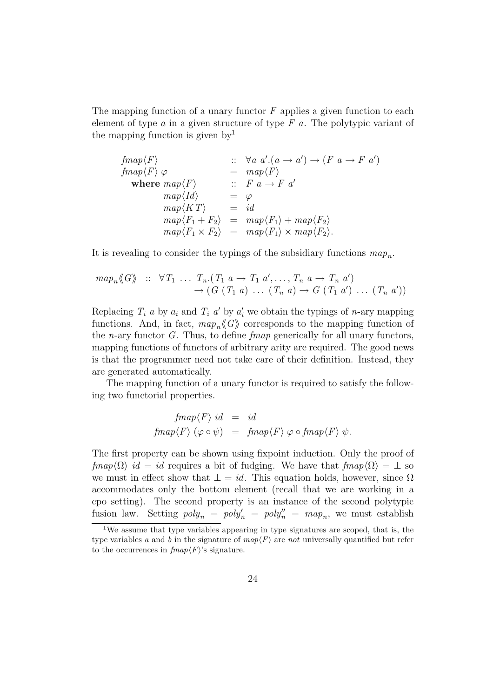The mapping function of a unary functor  $F$  applies a given function to each element of type  $a$  in a given structure of type  $F$  a. The polytypic variant of the mapping function is given  $by<sup>1</sup>$ 

 $\text{fmap}\langle F\rangle$  ::  $\forall a \ a'.(a \rightarrow a') \rightarrow (F \ a \rightarrow F \ a')$  $fmap\langle F\rangle \varphi = map\langle F\rangle$ **where**  $map\langle F \rangle$  ::  $F \cdot a \rightarrow F \cdot a'$  $map\langle Id \rangle$  =  $\varphi$  $map\langle KT \rangle$  = id  $map\langle F_1 + F_2 \rangle = map\langle F_1 \rangle + map\langle F_2 \rangle$  $map\langle F_1 \times F_2 \rangle = map\langle F_1 \rangle \times map\langle F_2 \rangle.$ 

It is revealing to consider the typings of the subsidiary functions  $map_n$ .

$$
map_n \langle G \rangle \quad :: \quad \forall T_1 \quad ... \quad T_n \cdot (T_1 \quad a \rightarrow T_1 \quad a', \dots, T_n \quad a \rightarrow T_n \quad a') \rightarrow (G \quad (T_1 \quad a) \quad ... \quad (T_n \quad a) \rightarrow G \quad (T_1 \quad a') \quad ... \quad (T_n \quad a'))
$$

Replacing  $T_i$  a by  $a_i$  and  $T_i$  a' by  $a'_i$  we obtain the typings of n-ary mapping functions. And, in fact,  $map_n\langle G\rangle$  corresponds to the mapping function of the *n*-ary functor  $G$ . Thus, to define *fmap* generically for all unary functors, mapping functions of functors of arbitrary arity are required. The good news is that the programmer need not take care of their definition. Instead, they are generated automatically.

The mapping function of a unary functor is required to satisfy the following two functorial properties.

$$
fmap \langle F \rangle id = id
$$
  

$$
fmap \langle F \rangle (\varphi \circ \psi) = fmap \langle F \rangle \varphi \circ fmap \langle F \rangle \psi.
$$

The first property can be shown using fixpoint induction. Only the proof of  $fmap\langle\Omega\rangle$  id = id requires a bit of fudging. We have that  $fmap\langle\Omega\rangle = \perp$  so we must in effect show that  $\bot = id$ . This equation holds, however, since  $\Omega$ accommodates only the bottom element (recall that we are working in a cpo setting). The second property is an instance of the second polytypic fusion law. Setting  $poly_n = poly'_n = poly''_n = map_n$ , we must establish

<sup>1</sup>We assume that type variables appearing in type signatures are scoped, that is, the type variables a and b in the signature of  $map(F)$  are not universally quantified but refer to the occurrences in  $\text{fmap}\langle F \rangle$ 's signature.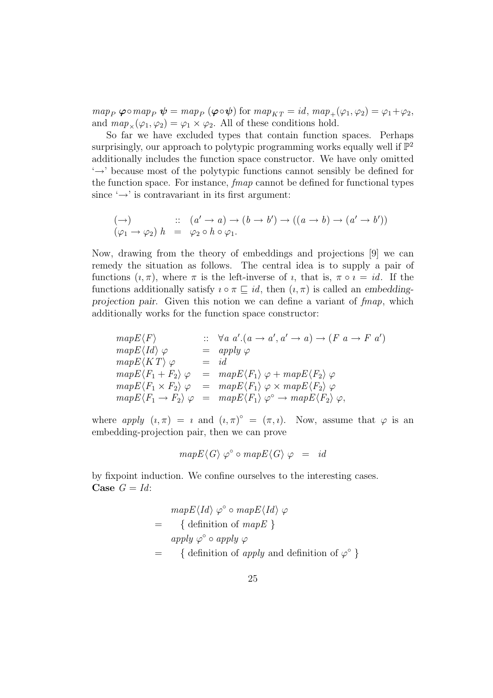$map_P \varphi \circ map_P \psi = map_P (\varphi \circ \psi)$  for  $map_{KT} = id$ ,  $map_+(\varphi_1, \varphi_2) = \varphi_1 + \varphi_2$ , and  $map_{\times}(\varphi_1, \varphi_2) = \varphi_1 \times \varphi_2$ . All of these conditions hold.

So far we have excluded types that contain function spaces. Perhaps surprisingly, our approach to polytypic programming works equally well if  $\mathbb{P}^2$ additionally includes the function space constructor. We have only omitted '→' because most of the polytypic functions cannot sensibly be defined for the function space. For instance, fmap cannot be defined for functional types since  $\rightarrow$  is contravariant in its first argument:

$$
(\rightarrow) \qquad :: \quad (a' \rightarrow a) \rightarrow (b \rightarrow b') \rightarrow ((a \rightarrow b) \rightarrow (a' \rightarrow b'))
$$
  

$$
(\varphi_1 \rightarrow \varphi_2) h = \varphi_2 \circ h \circ \varphi_1.
$$

Now, drawing from the theory of embeddings and projections [9] we can remedy the situation as follows. The central idea is to supply a pair of functions  $(i, \pi)$ , where  $\pi$  is the left-inverse of *i*, that is,  $\pi \circ i = id$ . If the functions additionally satisfy  $i \circ \pi \sqsubseteq id$ , then  $(i, \pi)$  is called an *embeddingprojection pair*. Given this notion we can define a variant of fmap, which additionally works for the function space constructor:

$$
mapE\langle F\rangle \qquad :: \forall a \ a'.(a \rightarrow a', a' \rightarrow a) \rightarrow (F \ a \rightarrow F \ a')
$$
  
\n
$$
mapE\langle Id\rangle \varphi = apply \varphi
$$
  
\n
$$
mapE\langle KT\rangle \varphi = id
$$
  
\n
$$
mapE\langle F_1 + F_2\rangle \varphi = mapE\langle F_1\rangle \varphi + mapE\langle F_2\rangle \varphi
$$
  
\n
$$
mapE\langle F_1 \times F_2\rangle \varphi = mapE\langle F_1\rangle \varphi \times mapE\langle F_2\rangle \varphi
$$
  
\n
$$
mapE\langle F_1 \rightarrow F_2\rangle \varphi = mapE\langle F_1\rangle \varphi^{\circ} \rightarrow mapE\langle F_2\rangle \varphi,
$$

where apply  $(i, \pi) = i$  and  $(i, \pi)^\circ = (\pi, i)$ . Now, assume that  $\varphi$  is an embedding-projection pair, then we can prove

$$
mapE \langle G \rangle \varphi^{\circ} \circ mapE \langle G \rangle \varphi = id
$$

by fixpoint induction. We confine ourselves to the interesting cases. **Case**  $G = Id$ :

$$
mapE\langle Id \rangle \varphi^{\circ} \circ mapE\langle Id \rangle \varphi
$$
  
= { definition of mapE }  
apply  $\varphi^{\circ} \circ apply \varphi$   
= { definition of apply and definition of  $\varphi^{\circ}$  }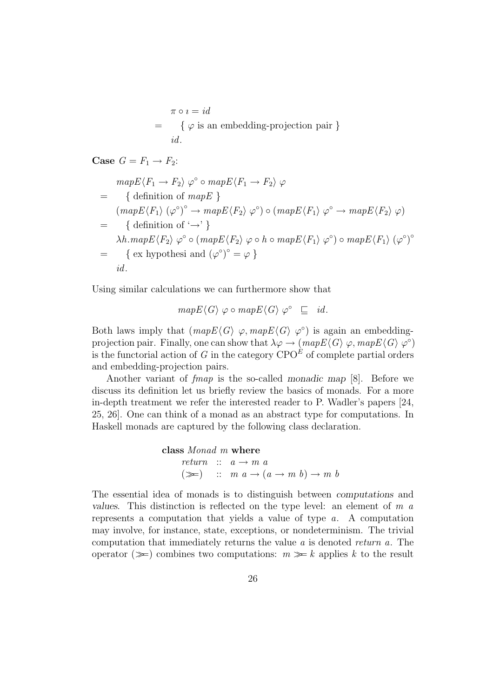$$
\pi \circ i = id
$$
  
= {  $\varphi$  is an embedding-projection pair }  
*id*.

**Case**  $G = F_1 \rightarrow F_2$ :

$$
mapE\langle F_1 \to F_2 \rangle \varphi^{\circ} \circ map E\langle F_1 \to F_2 \rangle \varphi
$$
  
= { definition of map  $E$  }  

$$
(mapE\langle F_1 \rangle (\varphi^{\circ})^{\circ} \to map E\langle F_2 \rangle \varphi^{\circ}) \circ (mapE\langle F_1 \rangle \varphi^{\circ} \to map E\langle F_2 \rangle \varphi)
$$
  
= { definition of ' $\rightarrow$ ' }  
 $\lambda h . map E\langle F_2 \rangle \varphi^{\circ} \circ (mapE\langle F_2 \rangle \varphi \circ h \circ map E\langle F_1 \rangle \varphi^{\circ}) \circ map E\langle F_1 \rangle (\varphi^{\circ})^{\circ}$   
= { ex hypothesis and ( $\varphi^{\circ}$ ) <sup>$\circ$</sup>  =  $\varphi$  }  
*id.*

Using similar calculations we can furthermore show that

$$
mapE\langle G\rangle \varphi \circ mapE\langle G\rangle \varphi^{\circ} \subseteq id.
$$

Both laws imply that  $(mapE\langle G \rangle \varphi, mapE\langle G \rangle \varphi^{\circ})$  is again an embeddingprojection pair. Finally, one can show that  $\lambda \varphi \to (map E \langle G \rangle \varphi, map E \langle G \rangle \varphi^{\circ})$ is the functorial action of G in the category  $CPO^{\hat{E}}$  of complete partial orders and embedding-projection pairs.

Another variant of fmap is the so-called *monadic map* [8]. Before we discuss its definition let us briefly review the basics of monads. For a more in-depth treatment we refer the interested reader to P. Wadler's papers [24, 25, 26]. One can think of a monad as an abstract type for computations. In Haskell monads are captured by the following class declaration.

```
class Monad m where
      return :: a \rightarrow m a(\ggg) :: m a \rightarrow (a \rightarrow m b) \rightarrow m b
```
The essential idea of monads is to distinguish between *computations* and *values*. This distinction is reflected on the type level: an element of m a represents a computation that yields a value of type a. A computation may involve, for instance, state, exceptions, or nondeterminism. The trivial computation that immediately returns the value a is denoted return a. The operator  $(\gg)$  combines two computations:  $m \gg k$  applies k to the result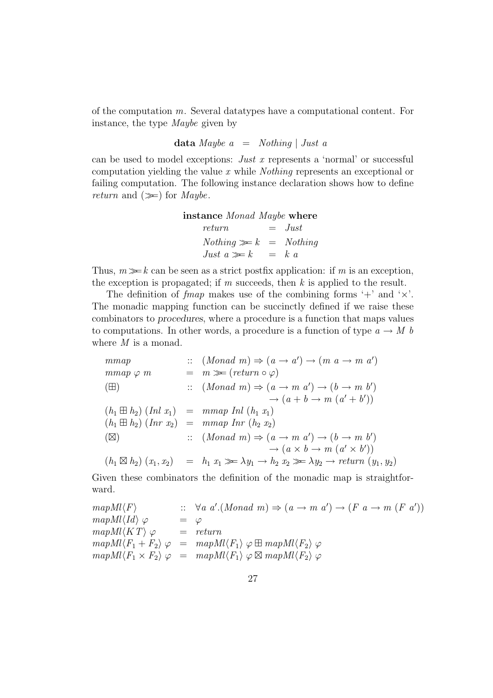of the computation  $m$ . Several datatypes have a computational content. For instance, the type Maybe given by

**data** Maybe a = Nothing | Just a

can be used to model exceptions: Just x represents a 'normal' or successful computation yielding the value x while Nothing represents an exceptional or failing computation. The following instance declaration shows how to define return and  $(\gg)$  for *Maybe*.

**instance** Monad Maybe **where**  $return = Just$  $Nothing \gg k = Nothing$ Just  $a \gg k$  = k a

Thus,  $m \gg k$  can be seen as a strict postfix application: if m is an exception, the exception is propagated; if m succeeds, then  $k$  is applied to the result.

The definition of *fmap* makes use of the combining forms  $'$ + and  $'$   $\times$ . The monadic mapping function can be succinctly defined if we raise these combinators to *procedures*, where a procedure is a function that maps values to computations. In other words, a procedure is a function of type  $a \to M b$ where M is a monad.

$$
\begin{array}{lll}\n\text{mmap} & \text{if } (Monad \ m) \Rightarrow (a \rightarrow a') \rightarrow (m \ a \rightarrow m \ a') \\
\text{mmap} \varphi \ m & = m \gg (return \circ \varphi) \\
\text{(H)} & \text{if } (Monad \ m) \Rightarrow (a \rightarrow m \ a') \rightarrow (b \rightarrow m \ b') \\
& \rightarrow (a + b \rightarrow m \ (a' + b')) \\
\text{(h}_1 \boxplus h_2) \ (Inl \ x_1) & = mmap \ Inl \ (h_1 \ x_1) \\
\text{(h}_1 \boxplus h_2) \ (Inr \ x_2) & = mmap \ Inr \ (h_2 \ x_2) \\
\text{(S)} & \text{if } (Monad \ m) \Rightarrow (a \rightarrow m \ a') \rightarrow (b \rightarrow m \ b') \\
& \rightarrow (a \times b \rightarrow m \ (a' \times b')) \\
\text{(h}_1 \boxtimes h_2) \ (x_1, x_2) & = h_1 \ x_1 \gg \lambda y_1 \rightarrow h_2 \ x_2 \gg \lambda y_2 \rightarrow return \ (y_1, y_2)\n\end{array}
$$

Given these combinators the definition of the monadic map is straightforward.

 $mapMl\langle F\rangle$  $(Aonad \ m) \Rightarrow (a \rightarrow m \ a') \rightarrow (F \ a \rightarrow m \ (F \ a'))$  $mapMl\langle Id \rangle \varphi = \varphi$  $mapMl\langle KT \rangle \varphi = return$  $mapMl\langle F_1 + F_2 \rangle \varphi = mapMl\langle F_1 \rangle \varphi \boxplus mapMl\langle F_2 \rangle \varphi$  $mapMl\langle F_1 \times F_2 \rangle \varphi = mapMl\langle F_1 \rangle \varphi \boxtimes mapMl\langle F_2 \rangle \varphi$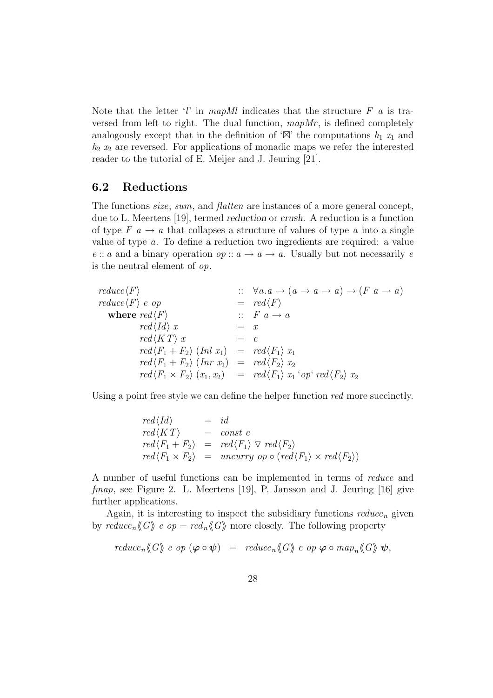Note that the letter 'l' in mapMl indicates that the structure  $F$  a is traversed from left to right. The dual function,  $mapMr$ , is defined completely analogously except that in the definition of ' $\mathbb{Z}$ ' the computations  $h_1$   $x_1$  and  $h_2$   $x_2$  are reversed. For applications of monadic maps we refer the interested reader to the tutorial of E. Meijer and J. Jeuring [21].

#### **6.2 Reductions**

The functions *size*, sum, and *flatten* are instances of a more general concept, due to L. Meertens [19], termed *reduction* or *crush*. A reduction is a function of type  $F \nightharpoonup a$  that collapses a structure of values of type a into a single value of type a. To define a reduction two ingredients are required: a value e :: a and a binary operation  $op: a \to a \to a$ . Usually but not necessarily e is the neutral element of op.

 $reduce\langle F\rangle$  ::  $\forall a.a \rightarrow (a \rightarrow a \rightarrow a) \rightarrow (F a \rightarrow a)$  $reduce\langle F \rangle e op = red\langle F \rangle$ **where**  $\text{red}\langle F\rangle$  ::  $F \ a \rightarrow a$  $red\langle Id \rangle x = x$  $red(KT) x = e$  $\text{red}\langle F_1 + F_2 \rangle$  (Inl  $x_1$ ) =  $\text{red}\langle F_1 \rangle x_1$  $\text{red}\langle F_1 + F_2 \rangle$   $(\text{Inr } x_2) = \text{red}\langle F_2 \rangle x_2$  $red\langle F_1 \times F_2 \rangle (x_1, x_2) = red\langle F_1 \rangle x_1$ 'op'  $red\langle F_2 \rangle x_2$ 

Using a point free style we can define the helper function red more succinctly.

$$
red\langle Id \rangle = id
$$
  
\n
$$
red\langle KT \rangle = const e
$$
  
\n
$$
red\langle F_1 + F_2 \rangle = red\langle F_1 \rangle \nabla red\langle F_2 \rangle
$$
  
\n
$$
red\langle F_1 \times F_2 \rangle = uncurry op \circ (red\langle F_1 \rangle \times red\langle F_2 \rangle)
$$

A number of useful functions can be implemented in terms of reduce and fmap, see Figure 2. L. Meertens [19], P. Jansson and J. Jeuring [16] give further applications.

Again, it is interesting to inspect the subsidiary functions  $reduce_n$  given by  $reduce_n \langle G \rangle \ge op = red_n \langle G \rangle$  more closely. The following property

$$
reduce_n \langle\!\langle G \rangle\!\rangle \, \, e \, \, op \, \, (\boldsymbol{\varphi} \circ \boldsymbol{\psi}) \ \, = \ \, \, reduce_n \langle\!\langle G \rangle\!\rangle \, \, e \, \, op \, \, \boldsymbol{\varphi} \circ map_n \langle\!\langle G \rangle\!\rangle \, \, \boldsymbol{\psi},
$$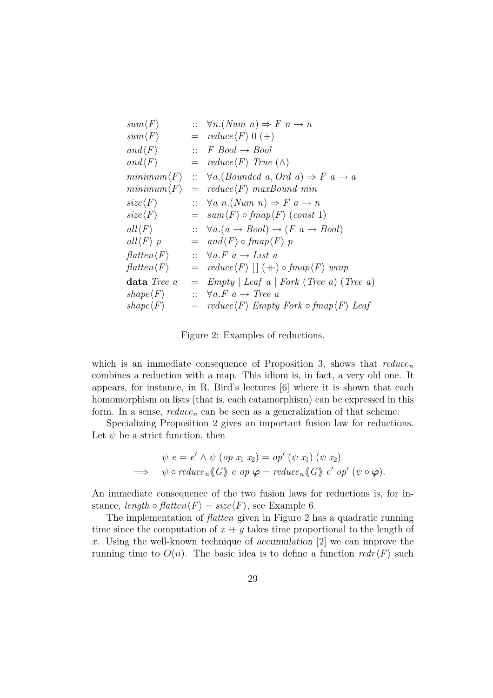| $sum\langle F\rangle$              |     | $\therefore$ $\forall n. (Num \space n) \Rightarrow F \space n \rightarrow n$      |
|------------------------------------|-----|------------------------------------------------------------------------------------|
| $sum\langle F\rangle$              |     | $=$ $reduce\langle F \rangle 0 (+)$                                                |
| $and \langle F \rangle$            |     | $\therefore$ F Bool $\rightarrow$ Bool                                             |
| $and \langle F \rangle$            |     | $=$ reduce $\langle F \rangle$ True $(\wedge)$                                     |
| $minimum \langle F \rangle$        |     | $\therefore$ $\forall a. (Bounded \ a, Ord \ a) \Rightarrow F \ a \rightarrow a$   |
| $minimum \langle F \rangle$        | $=$ | $reduce\langle F \rangle$ maxBound min                                             |
| $size\langle F \rangle$            |     | $\therefore$ $\forall a \; n. (Num \; n) \Rightarrow F \; a \rightarrow n$         |
| $size\langle F \rangle$            |     | $= \sum_{m}$ sum $\langle F \rangle \circ \text{fmap} \langle F \rangle$ (const 1) |
| $all \langle F \rangle$            |     | $\therefore$ $\forall a.(a \rightarrow Bool) \rightarrow (F \ a \rightarrow Bool)$ |
| $all \langle F \rangle p$          |     | $=$ and $\langle F \rangle$ of map $\langle F \rangle$ p                           |
| $\text{flatten}\langle F\rangle$   |     | $\therefore$ $\forall a.F \ a \rightarrow List \ a$                                |
| $\mathit{flatten}\langle F\rangle$ |     | $=$ $reduce\langle F \rangle$ $[ \; ]$ $(+)$ $of map\langle F \rangle$ $wrap$      |
| data Tree a                        | $=$ | $Empty \mid Leaf \; a \mid Fork \; (Tree \; a) \; (Tree \; a)$                     |
| $shape\langle F\rangle$            |     | $\therefore$ $\forall a.F \ a \rightarrow Tree \ a$                                |
| $shape\langle F\rangle$            |     | $=$ reduce $\langle F \rangle$ Empty Fork $\circ$ fmap $\langle F \rangle$ Leaf    |

Figure 2: Examples of reductions.

which is an immediate consequence of Proposition 3, shows that  $reduce_n$ combines a reduction with a map. This idiom is, in fact, a very old one. It appears, for instance, in R. Bird's lectures [6] where it is shown that each homomorphism on lists (that is, each catamorphism) can be expressed in this form. In a sense,  $reduce_n$  can be seen as a generalization of that scheme.

Specializing Proposition 2 gives an important fusion law for reductions. Let  $\psi$  be a strict function, then

$$
\psi e = e' \wedge \psi \ (\text{op } x_1 \ x_2) = \text{op'} \ (\psi \ x_1) \ (\psi \ x_2)
$$
\n
$$
\implies \psi \circ \text{reduce}_n \langle \!\langle G \rangle \!\rangle \ e \ \text{op } \varphi = \text{reduce}_n \langle \!\langle G \rangle \!\rangle \ e' \ \text{op'} \ (\psi \circ \varphi).
$$

An immediate consequence of the two fusion laws for reductions is, for instance, length  $\circ$  flatten $\langle F \rangle$  = size $\langle F \rangle$ , see Example 6.

The implementation of *flatten* given in Figure 2 has a quadratic running time since the computation of  $x + y$  takes time proportional to the length of x . Using the well-known technique of *accumulation* [2] we can improve the running time to  $O(n)$ . The basic idea is to define a function  $redr\langle F \rangle$  such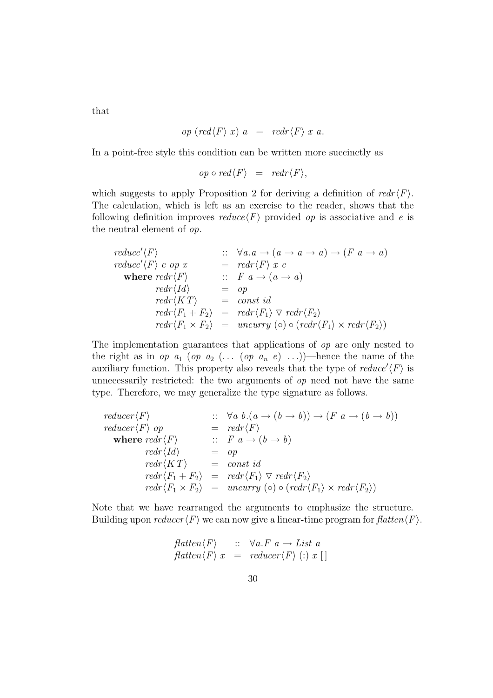that

$$
op (red \langle F \rangle x) a = redr \langle F \rangle x a.
$$

In a point-free style this condition can be written more succinctly as

$$
op \circ red \langle F \rangle = redr \langle F \rangle,
$$

which suggests to apply Proposition 2 for deriving a definition of  $redr \langle F \rangle$ . The calculation, which is left as an exercise to the reader, shows that the following definition improves  $reduce\langle F \rangle$  provided *op* is associative and *e* is the neutral element of op.

$$
reduce'\langle F \rangle \qquad :: \forall a.a \rightarrow (a \rightarrow a \rightarrow a) \rightarrow (F a \rightarrow a)
$$
\n
$$
reduce'\langle F \rangle e op x = redr\langle F \rangle x e
$$
\n
$$
where redr\langle F \rangle \qquad :: F a \rightarrow (a \rightarrow a)
$$
\n
$$
redr\langle Id \rangle = op
$$
\n
$$
redr\langle KT \rangle = const \, id
$$
\n
$$
redr\langle F_1 + F_2 \rangle = redr\langle F_1 \rangle \nabla redr\langle F_2 \rangle
$$
\n
$$
redr\langle F_1 \times F_2 \rangle = uncurry \, (o) \circ (redr\langle F_1 \rangle \times redr\langle F_2 \rangle)
$$

The implementation guarantees that applications of op are only nested to the right as in op  $a_1$  (op  $a_2$  (... (op  $a_n$  e) ...))—hence the name of the auxiliary function. This property also reveals that the type of  $reduce'\langle F \rangle$  is unnecessarily restricted: the two arguments of  $op$  need not have the same type. Therefore, we may generalize the type signature as follows.

$$
\begin{array}{lll}\n\text{reducer}\langle F \rangle & \text{::} & \forall a \ b. (a \rightarrow (b \rightarrow b)) \rightarrow (F \ a \rightarrow (b \rightarrow b)) \\
\text{reducer}\langle F \rangle & \text{op} & = \text{redr}\langle F \rangle \\
\text{where } \text{redr}\langle F \rangle & \text{::} & F \ a \rightarrow (b \rightarrow b) \\
\text{redr}\langle Id \rangle & = \text{op} \\
\text{redr}\langle K \ T \rangle & = \text{const } \text{id} \\
\text{redr}\langle F_1 + F_2 \rangle & = \text{redr}\langle F_1 \rangle \nabla \text{ redr}\langle F_2 \rangle \\
\text{redr}\langle F_1 \times F_2 \rangle & = \text{uncurray} \ (\text{o}) \circ (\text{redr}\langle F_1 \rangle \times \text{redr}\langle F_2 \rangle)\n\end{array}
$$

Note that we have rearranged the arguments to emphasize the structure. Building upon  $reducer \langle F \rangle$  we can now give a linear-time program for  $flatten \langle F \rangle$ .

$$
\begin{array}{ll}\n\text{flatten}\langle F\rangle &:: \forall a. F \ a \rightarrow \text{List} \ a \\
\text{flatten}\langle F\rangle \ x &= \text{reduce}\langle F\rangle \ (): \ x \ []\n\end{array}
$$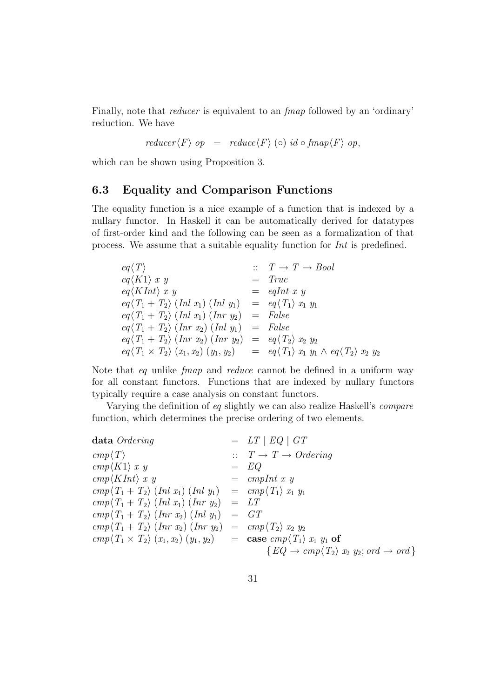Finally, note that reducer is equivalent to an fmap followed by an 'ordinary' reduction. We have

 $reducer \langle F \rangle op = reduce \langle F \rangle$  (ං)  $id \circ fmap \langle F \rangle op$ ,

which can be shown using Proposition 3.

#### **6.3 Equality and Comparison Functions**

The equality function is a nice example of a function that is indexed by a nullary functor. In Haskell it can be automatically derived for datatypes of first-order kind and the following can be seen as a formalization of that process. We assume that a suitable equality function for Int is predefined.

| $eq\langle T\rangle$                                                                                                            | $\therefore$ $T \rightarrow T \rightarrow Bool$ |
|---------------------------------------------------------------------------------------------------------------------------------|-------------------------------------------------|
| $eq\langle K1 \rangle x y$                                                                                                      | $= True$                                        |
| $eq\langle KInt \rangle x y$                                                                                                    | $=$ eqInt x y                                   |
| $eq\langle T_1 + T_2 \rangle$ (Inl $x_1$ ) (Inl $y_1$ ) = $eq\langle T_1 \rangle x_1 y_1$                                       |                                                 |
| $eq\langle T_1 + T_2 \rangle$ (Inl $x_1$ ) (Inr $y_2$ ) = False                                                                 |                                                 |
| $eq\langle T_1 + T_2 \rangle$ (Inr $x_2$ ) (Inl $y_1$ ) = False                                                                 |                                                 |
| $eq\langle T_1+T_2\rangle$ $(Inv x_2)$ $(Inv y_2) = eq\langle T_2\rangle x_2 y_2$                                               |                                                 |
| $eq\langle T_1 \times T_2 \rangle (x_1, x_2) (y_1, y_2) = eq \langle T_1 \rangle x_1 y_1 \wedge eq \langle T_2 \rangle x_2 y_2$ |                                                 |

Note that eq unlike fmap and reduce cannot be defined in a uniform way for all constant functors. Functions that are indexed by nullary functors typically require a case analysis on constant functors.

Varying the definition of eq slightly we can also realize Haskell's compare function, which determines the precise ordering of two elements.

| data Ordering                                                                                                                                 | $= LT \mid EQ \mid GT$                                                    |
|-----------------------------------------------------------------------------------------------------------------------------------------------|---------------------------------------------------------------------------|
| $cmp\langle T\rangle$                                                                                                                         | $T \rightarrow T \rightarrow Ordering$                                    |
| $cmp\langle K1\rangle x y$                                                                                                                    | $=$ EQ                                                                    |
| $cmp\langle KInt\rangle x y$                                                                                                                  | $=$ cmpInt x y                                                            |
| $cmp\langle T_1+T_2\rangle$ (Inl $x_1$ ) (Inl $y_1$ ) = $cmp\langle T_1\rangle x_1 y_1$                                                       |                                                                           |
| $cmp\langle T_1+T_2\rangle$ (Inl $x_1$ ) (Inr $y_2$ ) = LT                                                                                    |                                                                           |
| $cmp\langle T_1+T_2\rangle$ $(Inr x_2)$ $(Inl y_1) = GT$                                                                                      |                                                                           |
| $\langle cmp \langle T_1 + T_2 \rangle$ (Inr $x_2$ ) (Inr $y_2$ ) = $\langle cmp \langle T_2 \rangle x_2 y_2 \rangle$                         |                                                                           |
| $\langle cmp \langle T_1 \times T_2 \rangle (x_1, x_2) (y_1, y_2) \rangle = \text{case } \langle cmp \langle T_1 \rangle x_1 y_1 \text{ of }$ |                                                                           |
|                                                                                                                                               | $\{EQ \rightarrow cmp \langle T_2 \rangle x_2 y_2; ord \rightarrow ord\}$ |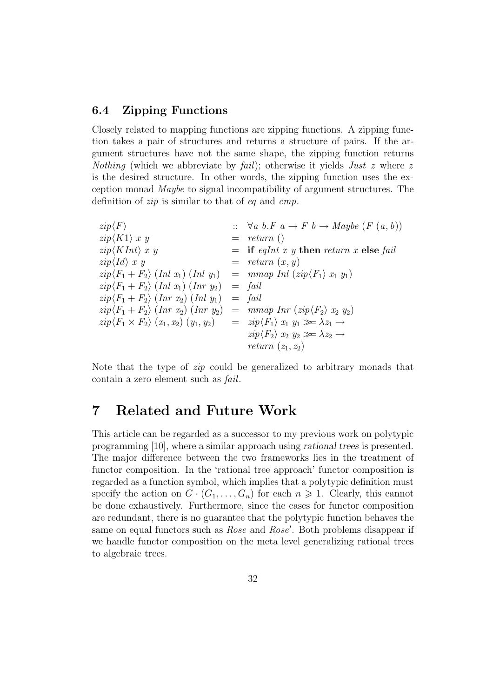#### **6.4 Zipping Functions**

Closely related to mapping functions are zipping functions. A zipping function takes a pair of structures and returns a structure of pairs. If the argument structures have not the same shape, the zipping function returns *Nothing* (which we abbreviate by *fail*); otherwise it yields *Just z* where z is the desired structure. In other words, the zipping function uses the exception monad Maybe to signal incompatibility of argument structures. The definition of zip is similar to that of eq and cmp.

 $zip\langle F \rangle$  ::  $\forall a \ b. F \ a \rightarrow F \ b \rightarrow Maybe \ (F \ (a, b))$  $\langle \sin(K1) x y \rangle = \text{return } ($  $\chi$ ip(KInt) x y = **if** eqInt x y **then** return x **else** fail  $\chi$ ip $\langle Id \rangle$  x y = return  $(x, y)$  $zip\langle F_1 + F_2 \rangle$  (Inl  $x_1$ ) (Inl  $y_1$ ) = mmap Inl  $(zip\langle F_1 \rangle x_1 y_1)$  $zip\langle F_1 + F_2 \rangle$  (Inl  $x_1$ ) (Inr  $y_2$ ) = fail  $\langle zip \langle F_1 + F_2 \rangle$  (Inr  $x_2$ ) (Inl  $y_1$ ) = fail  $zip\langle F_1 + F_2 \rangle$  (Inr  $x_2$ ) (Inr  $y_2$ ) = mmap Inr  $(zip\langle F_2 \rangle x_2 y_2)$  $zip\langle F_1 \times F_2 \rangle (x_1, x_2) (y_1, y_2) = zip\langle F_1 \rangle x_1 y_1 \gg \lambda z_1 \rightarrow$  $zip\langle F_2 \rangle x_2 y_2 \gg \lambda z_2 \rightarrow$ return  $(z_1, z_2)$ 

Note that the type of zip could be generalized to arbitrary monads that contain a zero element such as fail.

### **7 Related and Future Work**

This article can be regarded as a successor to my previous work on polytypic programming [10], where a similar approach using *rational trees* is presented. The major difference between the two frameworks lies in the treatment of functor composition. In the 'rational tree approach' functor composition is regarded as a function symbol, which implies that a polytypic definition must specify the action on  $G \cdot (G_1, \ldots, G_n)$  for each  $n \geq 1$ . Clearly, this cannot be done exhaustively. Furthermore, since the cases for functor composition are redundant, there is no guarantee that the polytypic function behaves the same on equal functors such as *Rose* and *Rose'*. Both problems disappear if we handle functor composition on the meta level generalizing rational trees to algebraic trees.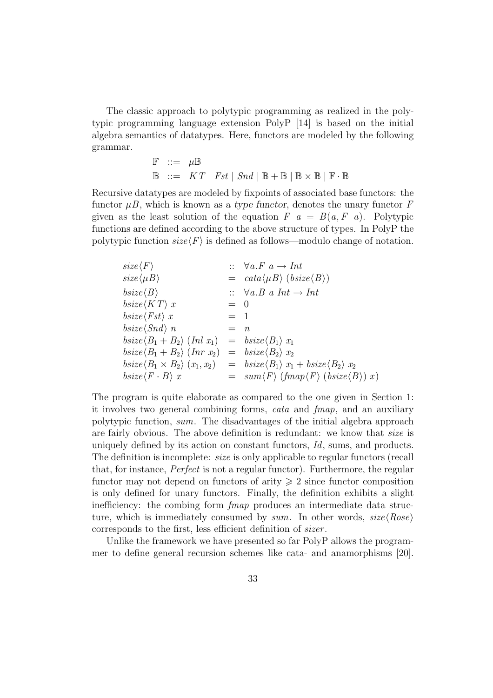The classic approach to polytypic programming as realized in the polytypic programming language extension PolyP [14] is based on the initial algebra semantics of datatypes. Here, functors are modeled by the following grammar.

$$
\begin{array}{rcl}\n\mathbb{F} & ::= & \mu \mathbb{B} \\
\mathbb{B} & ::= & KT \mid \mathit{Fst} \mid \mathit{Snd} \mid \mathbb{B} + \mathbb{B} \mid \mathbb{B} \times \mathbb{B} \mid \mathbb{F} \cdot \mathbb{B}\n\end{array}
$$

Recursive datatypes are modeled by fixpoints of associated base functors: the functor  $\mu$ B, which is known as a *type functor*, denotes the unary functor F given as the least solution of the equation  $F \, a = B(a, F \, a)$ . Polytypic functions are defined according to the above structure of types. In PolyP the polytypic function  $size\langle F \rangle$  is defined as follows—modulo change of notation.

| $size\langle F \rangle$                                                                          |         | $\therefore \forall a.F \ a \rightarrow Int$                                                                                                                  |
|--------------------------------------------------------------------------------------------------|---------|---------------------------------------------------------------------------------------------------------------------------------------------------------------|
| $size\langle \mu B \rangle$                                                                      |         | $= \text{} \text{} \text{} \langle \mu \text{} \mu \text{} \rangle \text{} (\text{} \text{} \langle \text{} \text{} \text{} \text{} \rangle \text{} \rangle)$ |
| $bsize\langle B\rangle$                                                                          |         | $\therefore$ $\forall a.B \ a Int \rightarrow Int$                                                                                                            |
| $bsize\langle KT \rangle x$                                                                      | $= 0$   |                                                                                                                                                               |
| $bsize\langle Fst\rangle x$                                                                      | $=$ 1   |                                                                                                                                                               |
| $bsize\langle Snd\rangle$ n                                                                      | $=$ $n$ |                                                                                                                                                               |
| $\text{bsize}\langle B_1 + B_2 \rangle \text{ (Inl } x_1) = \text{bsize}\langle B_1 \rangle x_1$ |         |                                                                                                                                                               |
| $\text{bsize}\langle B_1 + B_2 \rangle \text{ (Inr } x_2) = \text{bsize}\langle B_2 \rangle x_2$ |         |                                                                                                                                                               |
|                                                                                                  |         | $\langle B_1 \times B_2 \rangle (x_1, x_2) = b \, size \langle B_1 \rangle x_1 + b \, size \langle B_2 \rangle x_2$                                           |
| $bsize\langle F \cdot B \rangle x$                                                               |         | $= \sum \mathit{sum} \langle F \rangle \langle \mathit{fmap} \langle F \rangle \langle \mathit{bsize} \langle B \rangle \rangle x \rangle$                    |

The program is quite elaborate as compared to the one given in Section 1: it involves two general combining forms, cata and fmap, and an auxiliary polytypic function, sum. The disadvantages of the initial algebra approach are fairly obvious. The above definition is redundant: we know that size is uniquely defined by its action on constant functors, Id, sums, and products. The definition is incomplete: size is only applicable to regular functors (recall that, for instance, Perfect is not a regular functor). Furthermore, the regular functor may not depend on functors of arity  $\geq 2$  since functor composition is only defined for unary functors. Finally, the definition exhibits a slight inefficiency: the combing form fmap produces an intermediate data structure, which is immediately consumed by sum. In other words,  $size(Rose)$ corresponds to the first, less efficient definition of sizer.

Unlike the framework we have presented so far PolyP allows the programmer to define general recursion schemes like cata- and anamorphisms [20].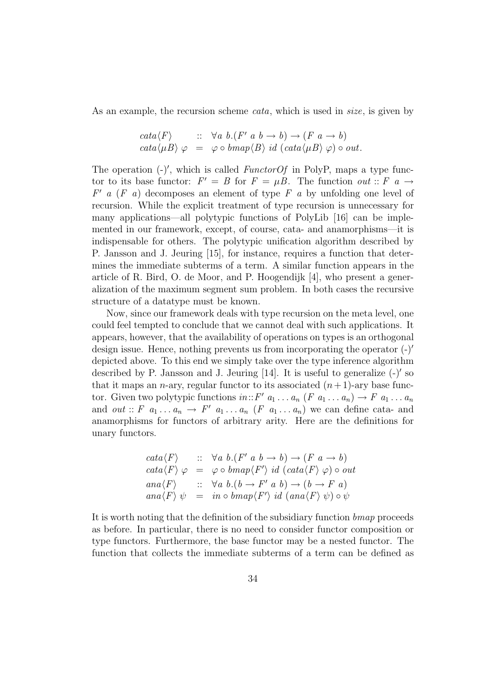As an example, the recursion scheme *cata*, which is used in *size*, is given by

$$
\begin{array}{rcl}\n\text{cata}\langle F \rangle &:: \forall a \ b.\left(F' \ a \ b \rightarrow b\right) \rightarrow \left(F \ a \rightarrow b\right) \\
\text{cata}\langle \mu B \rangle \varphi &=& \varphi \circ \text{bmap}\langle B \rangle \ id \ (\text{cata}\langle \mu B \rangle \varphi) \circ \text{out.}\n\end{array}
$$

The operation  $(-)'$ , which is called *FunctorOf* in PolyP, maps a type functor to its base functor:  $F' = B$  for  $F = \mu B$ . The function out :: F a  $\rightarrow$  $F'$  a (F a) decomposes an element of type F a by unfolding one level of recursion. While the explicit treatment of type recursion is unnecessary for many applications—all polytypic functions of PolyLib [16] can be implemented in our framework, except, of course, cata- and anamorphisms—it is indispensable for others. The polytypic unification algorithm described by P. Jansson and J. Jeuring [15], for instance, requires a function that determines the immediate subterms of a term. A similar function appears in the article of R. Bird, O. de Moor, and P. Hoogendijk [4], who present a generalization of the maximum segment sum problem. In both cases the recursive structure of a datatype must be known.

Now, since our framework deals with type recursion on the meta level, one could feel tempted to conclude that we cannot deal with such applications. It appears, however, that the availability of operations on types is an orthogonal design issue. Hence, nothing prevents us from incorporating the operator  $(-)'$ depicted above. To this end we simply take over the type inference algorithm described by P. Jansson and J. Jeuring  $[14]$ . It is useful to generalize  $(-)'$  so that it maps an *n*-ary, regular functor to its associated  $(n+1)$ -ary base functor. Given two polytypic functions  $in::F'$   $a_1 \ldots a_n$   $(F a_1 \ldots a_n) \rightarrow F a_1 \ldots a_n$ and *out* :: F  $a_1 \ldots a_n \rightarrow F'$   $a_1 \ldots a_n$  (F  $a_1 \ldots a_n$ ) we can define cata- and anamorphisms for functors of arbitrary arity. Here are the definitions for unary functors.

$$
cata \langle F \rangle \qquad :: \quad \forall a \ b. (F' \ a \ b \rightarrow b) \rightarrow (F \ a \rightarrow b)
$$
  
\n
$$
cata \langle F \rangle \varphi \qquad = \varphi \circ bmap \langle F' \rangle \ id \ (cata \langle F \rangle \varphi) \circ out
$$
  
\n
$$
ana \langle F \rangle \qquad :: \quad \forall a \ b. (b \rightarrow F' \ a \ b) \rightarrow (b \rightarrow F \ a)
$$
  
\n
$$
ana \langle F \rangle \psi \qquad = \quad in \circ bmap \langle F' \rangle \ id \ (ana \langle F \rangle \psi) \circ \psi
$$

It is worth noting that the definition of the subsidiary function bmap proceeds as before. In particular, there is no need to consider functor composition or type functors. Furthermore, the base functor may be a nested functor. The function that collects the immediate subterms of a term can be defined as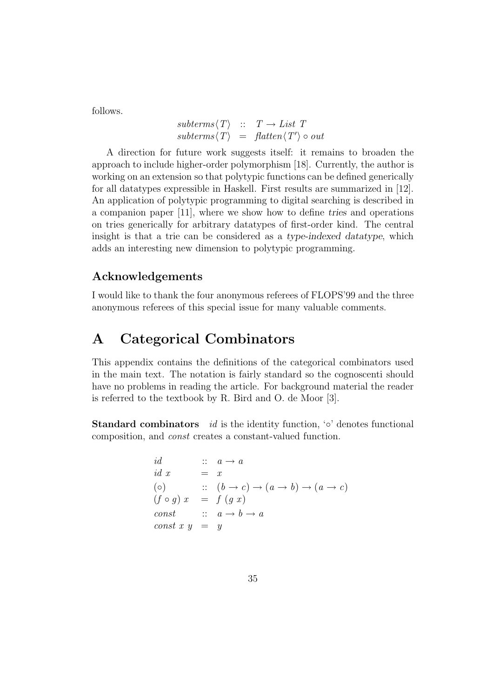follows.

$$
subterms\langle T \rangle :: T \rightarrow List T
$$
  

$$
subterms\langle T \rangle = flatten\langle T' \rangle \circ out
$$

A direction for future work suggests itself: it remains to broaden the approach to include higher-order polymorphism [18]. Currently, the author is working on an extension so that polytypic functions can be defined generically for all datatypes expressible in Haskell. First results are summarized in [12]. An application of polytypic programming to digital searching is described in a companion paper [11], where we show how to define *tries* and operations on tries generically for arbitrary datatypes of first-order kind. The central insight is that a trie can be considered as a *type-indexed datatype*, which adds an interesting new dimension to polytypic programming.

### **Acknowledgements**

I would like to thank the four anonymous referees of FLOPS'99 and the three anonymous referees of this special issue for many valuable comments.

## **A Categorical Combinators**

This appendix contains the definitions of the categorical combinators used in the main text. The notation is fairly standard so the cognoscenti should have no problems in reading the article. For background material the reader is referred to the textbook by R. Bird and O. de Moor [3].

**Standard combinators** id is the identity function, '◦' denotes functional composition, and const creates a constant-valued function.

$$
\begin{array}{llll}\n id & :: & a \to a \\
 id \; x & = & x \\
 (\circ) & :: & (b \to c) \to (a \to b) \to (a \to c) \\
 (f \circ g) \; x & = & f \; (g \; x) \\
 \text{const} & :: & a \to b \to a \\
 \text{const} \; x \; y & = & y\n \end{array}
$$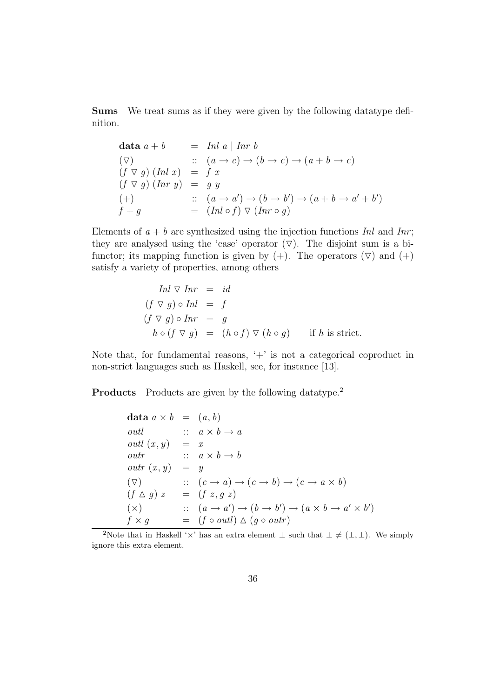**Sums** We treat sums as if they were given by the following datatype definition.

$$
\begin{array}{lll}\n\textbf{data } a+b & = & \text{Inl } a \mid \text{Inr } b \\
(\nabla) & :: & (a \rightarrow c) \rightarrow (b \rightarrow c) \rightarrow (a+b \rightarrow c) \\
(f \nabla g) \left(\text{Inl } x\right) & = & f \ x \\
(f \nabla g) \left(\text{Inr } y\right) & = & g \ y \\
(\text{+}) & :: & (a \rightarrow a') \rightarrow (b \rightarrow b') \rightarrow (a+b \rightarrow a'+b') \\
f+g & = & (\text{Inl } \circ f) \ \nabla \left(\text{Inr } \circ g\right)\n\end{array}
$$

Elements of  $a + b$  are synthesized using the injection functions Inl and Inr; they are analysed using the 'case' operator  $(\nabla)$ . The disjoint sum is a bifunctor; its mapping function is given by  $(+)$ . The operators  $(\nabla)$  and  $(+)$ satisfy a variety of properties, among others

$$
Inl \nabla Inr = id
$$
  
\n
$$
(f \nabla g) \circ Inl = f
$$
  
\n
$$
(f \nabla g) \circ Inr = g
$$
  
\n
$$
h \circ (f \nabla g) = (h \circ f) \nabla (h \circ g) \quad \text{if } h \text{ is strict.}
$$

Note that, for fundamental reasons,  $+$  is not a categorical coproduct in non-strict languages such as Haskell, see, for instance [13].

**Products** Products are given by the following datatype.<sup>2</sup>

$$
\begin{array}{rcl}\n\textbf{data } a \times b & = & (a, b) \\
\text{outl} & :: & a \times b \to a \\
\text{outl } (x, y) & = & x \\
\text{outr} & :: & a \times b \to b \\
\text{outr } (x, y) & = & y \\
(\nabla) & :: & (c \to a) \to (c \to b) \to (c \to a \times b) \\
(f \land g) z & = & (f z, g z) \\
(\times) & :: & (a \to a') \to (b \to b') \to (a \times b \to a' \times b') \\
f \times g & = & (f \circ \text{outl}) \land (g \circ \text{outr})\n\end{array}
$$

<sup>2</sup>Note that in Haskell ' $\times$ ' has an extra element  $\perp$  such that  $\perp \neq (\perp, \perp)$ . We simply ignore this extra element.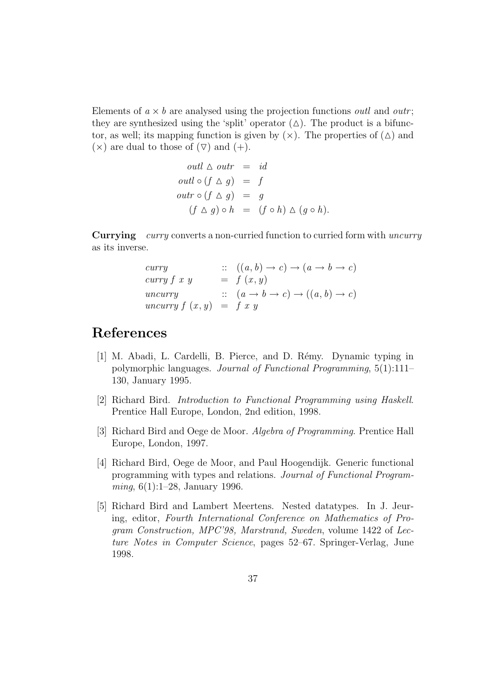Elements of  $a \times b$  are analysed using the projection functions *outl* and *outr*; they are synthesized using the 'split' operator  $(\triangle)$ . The product is a bifunctor, as well; its mapping function is given by  $(\times)$ . The properties of  $(\triangle)$  and  $(\times)$  are dual to those of  $(\nabla)$  and  $(+)$ .

$$
outl \triangle outr = id
$$
  
\n
$$
outl \circ (f \triangle g) = f
$$
  
\n
$$
outr \circ (f \triangle g) = g
$$
  
\n
$$
(f \triangle g) \circ h = (f \circ h) \triangle (g \circ h).
$$

**Currying** curry converts a non-curried function to curried form with uncurry as its inverse.

$$
curry \n= f(x, y) \n( a \rightarrow b \rightarrow c )
$$
\n
$$
curry f x y \n= f (x, y)
$$
\n
$$
uncurray \n\therefore (a \rightarrow b \rightarrow c) \rightarrow ((a, b) \rightarrow c)
$$
\n
$$
uncurray f (x, y) \n= f x y
$$

### **References**

- [1] M. Abadi, L. Cardelli, B. Pierce, and D. R´emy. Dynamic typing in polymorphic languages. Journal of Functional Programming, 5(1):111– 130, January 1995.
- [2] Richard Bird. Introduction to Functional Programming using Haskell. Prentice Hall Europe, London, 2nd edition, 1998.
- [3] Richard Bird and Oege de Moor. Algebra of Programming. Prentice Hall Europe, London, 1997.
- [4] Richard Bird, Oege de Moor, and Paul Hoogendijk. Generic functional programming with types and relations. Journal of Functional Program*ming*,  $6(1):1-28$ , January 1996.
- [5] Richard Bird and Lambert Meertens. Nested datatypes. In J. Jeuring, editor, Fourth International Conference on Mathematics of Program Construction, MPC'98, Marstrand, Sweden, volume 1422 of Lecture Notes in Computer Science, pages 52–67. Springer-Verlag, June 1998.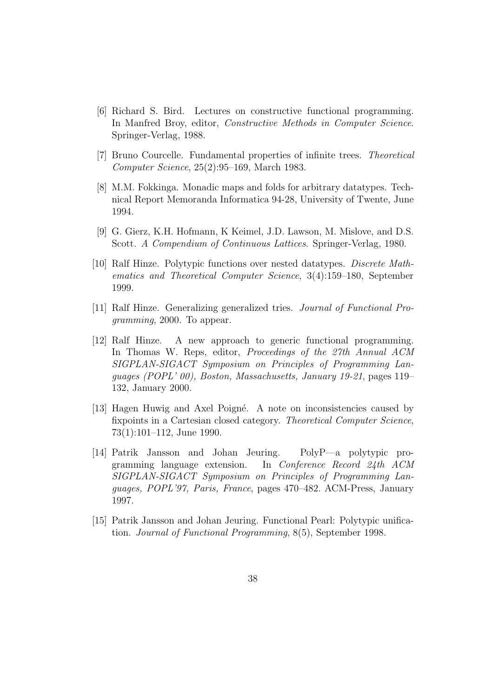- [6] Richard S. Bird. Lectures on constructive functional programming. In Manfred Broy, editor, *Constructive Methods in Computer Science*. Springer-Verlag, 1988.
- [7] Bruno Courcelle. Fundamental properties of infinite trees. Theoretical Computer Science, 25(2):95–169, March 1983.
- [8] M.M. Fokkinga. Monadic maps and folds for arbitrary datatypes. Technical Report Memoranda Informatica 94-28, University of Twente, June 1994.
- [9] G. Gierz, K.H. Hofmann, K Keimel, J.D. Lawson, M. Mislove, and D.S. Scott. A Compendium of Continuous Lattices. Springer-Verlag, 1980.
- [10] Ralf Hinze. Polytypic functions over nested datatypes. Discrete Mathematics and Theoretical Computer Science, 3(4):159–180, September 1999.
- [11] Ralf Hinze. Generalizing generalized tries. Journal of Functional Programming, 2000. To appear.
- [12] Ralf Hinze. A new approach to generic functional programming. In Thomas W. Reps, editor, Proceedings of the 27th Annual ACM SIGPLAN-SIGACT Symposium on Principles of Programming Languages (POPL' 00), Boston, Massachusetts, January 19-21, pages 119– 132, January 2000.
- [13] Hagen Huwig and Axel Poigné. A note on inconsistencies caused by fixpoints in a Cartesian closed category. Theoretical Computer Science, 73(1):101–112, June 1990.
- [14] Patrik Jansson and Johan Jeuring. PolyP—a polytypic programming language extension. In Conference Record 24th ACM SIGPLAN-SIGACT Symposium on Principles of Programming Languages, POPL'97, Paris, France, pages 470–482. ACM-Press, January 1997.
- [15] Patrik Jansson and Johan Jeuring. Functional Pearl: Polytypic unification. Journal of Functional Programming, 8(5), September 1998.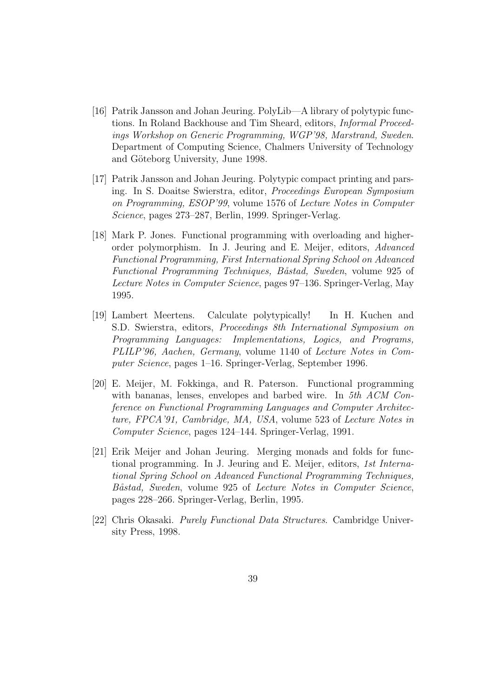- [16] Patrik Jansson and Johan Jeuring. PolyLib—A library of polytypic functions. In Roland Backhouse and Tim Sheard, editors, Informal Proceedings Workshop on Generic Programming, WGP'98, Marstrand, Sweden. Department of Computing Science, Chalmers University of Technology and Göteborg University, June 1998.
- [17] Patrik Jansson and Johan Jeuring. Polytypic compact printing and parsing. In S. Doaitse Swierstra, editor, Proceedings European Symposium on Programming, ESOP'99, volume 1576 of Lecture Notes in Computer Science, pages 273–287, Berlin, 1999. Springer-Verlag.
- [18] Mark P. Jones. Functional programming with overloading and higherorder polymorphism. In J. Jeuring and E. Meijer, editors, Advanced Functional Programming, First International Spring School on Advanced Functional Programming Techniques, Båstad, Sweden, volume 925 of Lecture Notes in Computer Science, pages 97–136. Springer-Verlag, May 1995.
- [19] Lambert Meertens. Calculate polytypically! In H. Kuchen and S.D. Swierstra, editors, Proceedings 8th International Symposium on Programming Languages: Implementations, Logics, and Programs, PLILP'96, Aachen, Germany, volume 1140 of Lecture Notes in Computer Science, pages 1–16. Springer-Verlag, September 1996.
- [20] E. Meijer, M. Fokkinga, and R. Paterson. Functional programming with bananas, lenses, envelopes and barbed wire. In 5th ACM Conference on Functional Programming Languages and Computer Architecture, FPCA'91, Cambridge, MA, USA, volume 523 of Lecture Notes in Computer Science, pages 124–144. Springer-Verlag, 1991.
- [21] Erik Meijer and Johan Jeuring. Merging monads and folds for functional programming. In J. Jeuring and E. Meijer, editors, 1st International Spring School on Advanced Functional Programming Techniques, Båstad, Sweden, volume 925 of Lecture Notes in Computer Science, pages 228–266. Springer-Verlag, Berlin, 1995.
- [22] Chris Okasaki. Purely Functional Data Structures. Cambridge University Press, 1998.